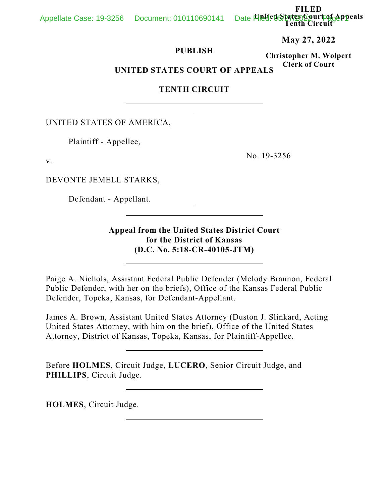**FILED Date Ensited States Court of Appeals Tenth Circuit**

Appellate Case: 19-3256 Document: 010110690141

**May 27, 2022**

## **PUBLISH**

**Christopher M. Wolpert Clerk of Court**

**UNITED STATES COURT OF APPEALS**

## **TENTH CIRCUIT**

UNITED STATES OF AMERICA,

Plaintiff - Appellee,

v.

DEVONTE JEMELL STARKS,

Defendant - Appellant.

No. 19-3256

**Appeal from the United States District Court for the District of Kansas (D.C. No. 5:18-CR-40105-JTM)**

Paige A. Nichols, Assistant Federal Public Defender (Melody Brannon, Federal Public Defender, with her on the briefs), Office of the Kansas Federal Public Defender, Topeka, Kansas, for Defendant-Appellant.

James A. Brown, Assistant United States Attorney (Duston J. Slinkard, Acting United States Attorney, with him on the brief), Office of the United States Attorney, District of Kansas, Topeka, Kansas, for Plaintiff-Appellee.

Before **HOLMES**, Circuit Judge, **LUCERO**, Senior Circuit Judge, and **PHILLIPS**, Circuit Judge.

**HOLMES**, Circuit Judge.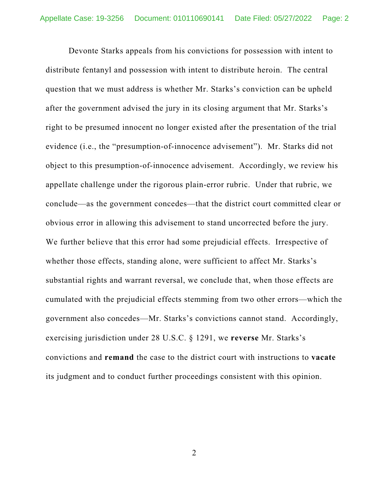Devonte Starks appeals from his convictions for possession with intent to distribute fentanyl and possession with intent to distribute heroin. The central question that we must address is whether Mr. Starks's conviction can be upheld after the government advised the jury in its closing argument that Mr. Starks's right to be presumed innocent no longer existed after the presentation of the trial evidence (i.e., the "presumption-of-innocence advisement"). Mr. Starks did not object to this presumption-of-innocence advisement. Accordingly, we review his appellate challenge under the rigorous plain-error rubric. Under that rubric, we conclude—as the government concedes—that the district court committed clear or obvious error in allowing this advisement to stand uncorrected before the jury. We further believe that this error had some prejudicial effects. Irrespective of whether those effects, standing alone, were sufficient to affect Mr. Starks's substantial rights and warrant reversal, we conclude that, when those effects are cumulated with the prejudicial effects stemming from two other errors—which the government also concedes—Mr. Starks's convictions cannot stand. Accordingly, exercising jurisdiction under 28 U.S.C. § 1291, we **reverse** Mr. Starks's convictions and **remand** the case to the district court with instructions to **vacate** its judgment and to conduct further proceedings consistent with this opinion.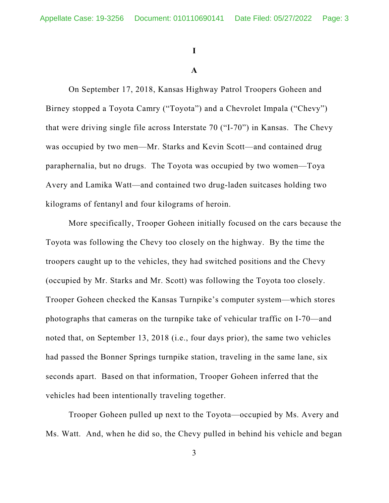# **I**

## **A**

On September 17, 2018, Kansas Highway Patrol Troopers Goheen and Birney stopped a Toyota Camry ("Toyota") and a Chevrolet Impala ("Chevy") that were driving single file across Interstate 70 ("I-70") in Kansas. The Chevy was occupied by two men—Mr. Starks and Kevin Scott—and contained drug paraphernalia, but no drugs. The Toyota was occupied by two women—Toya Avery and Lamika Watt—and contained two drug-laden suitcases holding two kilograms of fentanyl and four kilograms of heroin.

More specifically, Trooper Goheen initially focused on the cars because the Toyota was following the Chevy too closely on the highway. By the time the troopers caught up to the vehicles, they had switched positions and the Chevy (occupied by Mr. Starks and Mr. Scott) was following the Toyota too closely. Trooper Goheen checked the Kansas Turnpike's computer system—which stores photographs that cameras on the turnpike take of vehicular traffic on I-70—and noted that, on September 13, 2018 (i.e., four days prior), the same two vehicles had passed the Bonner Springs turnpike station, traveling in the same lane, six seconds apart. Based on that information, Trooper Goheen inferred that the vehicles had been intentionally traveling together.

Trooper Goheen pulled up next to the Toyota—occupied by Ms. Avery and Ms. Watt. And, when he did so, the Chevy pulled in behind his vehicle and began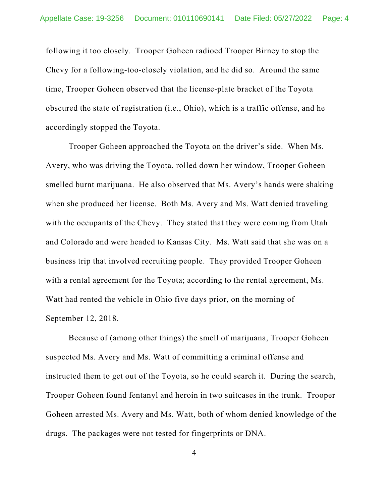following it too closely. Trooper Goheen radioed Trooper Birney to stop the Chevy for a following-too-closely violation, and he did so. Around the same time, Trooper Goheen observed that the license-plate bracket of the Toyota obscured the state of registration (i.e., Ohio), which is a traffic offense, and he accordingly stopped the Toyota.

Trooper Goheen approached the Toyota on the driver's side. When Ms. Avery, who was driving the Toyota, rolled down her window, Trooper Goheen smelled burnt marijuana. He also observed that Ms. Avery's hands were shaking when she produced her license. Both Ms. Avery and Ms. Watt denied traveling with the occupants of the Chevy. They stated that they were coming from Utah and Colorado and were headed to Kansas City. Ms. Watt said that she was on a business trip that involved recruiting people. They provided Trooper Goheen with a rental agreement for the Toyota; according to the rental agreement, Ms. Watt had rented the vehicle in Ohio five days prior, on the morning of September 12, 2018.

Because of (among other things) the smell of marijuana, Trooper Goheen suspected Ms. Avery and Ms. Watt of committing a criminal offense and instructed them to get out of the Toyota, so he could search it. During the search, Trooper Goheen found fentanyl and heroin in two suitcases in the trunk. Trooper Goheen arrested Ms. Avery and Ms. Watt, both of whom denied knowledge of the drugs. The packages were not tested for fingerprints or DNA.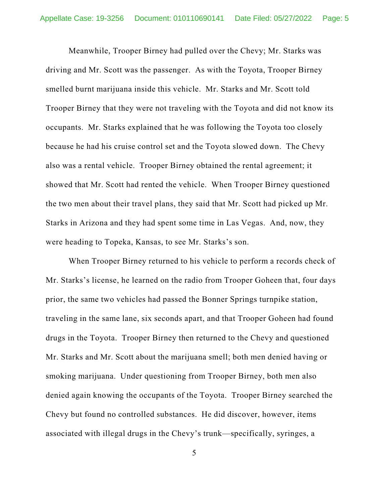Meanwhile, Trooper Birney had pulled over the Chevy; Mr. Starks was driving and Mr. Scott was the passenger. As with the Toyota, Trooper Birney smelled burnt marijuana inside this vehicle. Mr. Starks and Mr. Scott told Trooper Birney that they were not traveling with the Toyota and did not know its occupants. Mr. Starks explained that he was following the Toyota too closely because he had his cruise control set and the Toyota slowed down. The Chevy also was a rental vehicle. Trooper Birney obtained the rental agreement; it showed that Mr. Scott had rented the vehicle. When Trooper Birney questioned the two men about their travel plans, they said that Mr. Scott had picked up Mr. Starks in Arizona and they had spent some time in Las Vegas. And, now, they were heading to Topeka, Kansas, to see Mr. Starks's son.

When Trooper Birney returned to his vehicle to perform a records check of Mr. Starks's license, he learned on the radio from Trooper Goheen that, four days prior, the same two vehicles had passed the Bonner Springs turnpike station, traveling in the same lane, six seconds apart, and that Trooper Goheen had found drugs in the Toyota. Trooper Birney then returned to the Chevy and questioned Mr. Starks and Mr. Scott about the marijuana smell; both men denied having or smoking marijuana. Under questioning from Trooper Birney, both men also denied again knowing the occupants of the Toyota. Trooper Birney searched the Chevy but found no controlled substances. He did discover, however, items associated with illegal drugs in the Chevy's trunk—specifically, syringes, a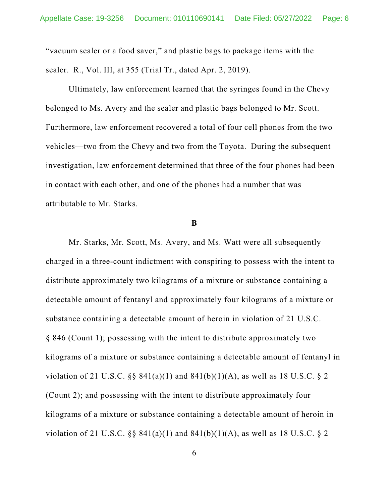"vacuum sealer or a food saver," and plastic bags to package items with the sealer. R., Vol. III, at 355 (Trial Tr., dated Apr. 2, 2019).

Ultimately, law enforcement learned that the syringes found in the Chevy belonged to Ms. Avery and the sealer and plastic bags belonged to Mr. Scott. Furthermore, law enforcement recovered a total of four cell phones from the two vehicles—two from the Chevy and two from the Toyota. During the subsequent investigation, law enforcement determined that three of the four phones had been in contact with each other, and one of the phones had a number that was attributable to Mr. Starks.

## **B**

Mr. Starks, Mr. Scott, Ms. Avery, and Ms. Watt were all subsequently charged in a three-count indictment with conspiring to possess with the intent to distribute approximately two kilograms of a mixture or substance containing a detectable amount of fentanyl and approximately four kilograms of a mixture or substance containing a detectable amount of heroin in violation of 21 U.S.C. § 846 (Count 1); possessing with the intent to distribute approximately two kilograms of a mixture or substance containing a detectable amount of fentanyl in violation of 21 U.S.C.  $\S$ § 841(a)(1) and 841(b)(1)(A), as well as 18 U.S.C. § 2 (Count 2); and possessing with the intent to distribute approximately four kilograms of a mixture or substance containing a detectable amount of heroin in violation of 21 U.S.C.  $\S$ § 841(a)(1) and 841(b)(1)(A), as well as 18 U.S.C. § 2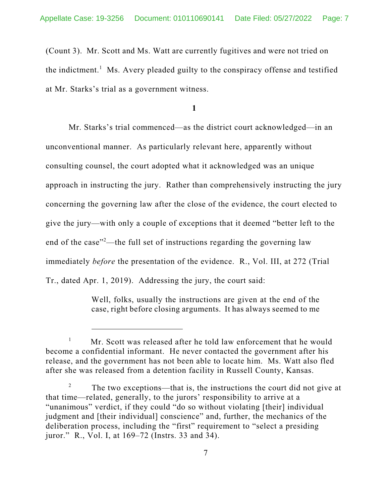(Count 3). Mr. Scott and Ms. Watt are currently fugitives and were not tried on the indictment. <sup>1</sup> Ms. Avery pleaded guilty to the conspiracy offense and testified at Mr. Starks's trial as a government witness.

**1**

Mr. Starks's trial commenced—as the district court acknowledged—in an unconventional manner. As particularly relevant here, apparently without consulting counsel, the court adopted what it acknowledged was an unique approach in instructing the jury. Rather than comprehensively instructing the jury concerning the governing law after the close of the evidence, the court elected to give the jury—with only a couple of exceptions that it deemed "better left to the end of the case"<sup>2</sup>—the full set of instructions regarding the governing law immediately *before* the presentation of the evidence. R., Vol. III, at 272 (Trial Tr., dated Apr. 1, 2019). Addressing the jury, the court said:

> Well, folks, usually the instructions are given at the end of the case, right before closing arguments. It has always seemed to me

 $1$  Mr. Scott was released after he told law enforcement that he would become a confidential informant. He never contacted the government after his release, and the government has not been able to locate him. Ms. Watt also fled after she was released from a detention facility in Russell County, Kansas.

The two exceptions—that is, the instructions the court did not give at that time—related, generally, to the jurors' responsibility to arrive at a "unanimous" verdict, if they could "do so without violating [their] individual judgment and [their individual] conscience" and, further, the mechanics of the deliberation process, including the "first" requirement to "select a presiding juror." R., Vol. I, at 169–72 (Instrs. 33 and 34).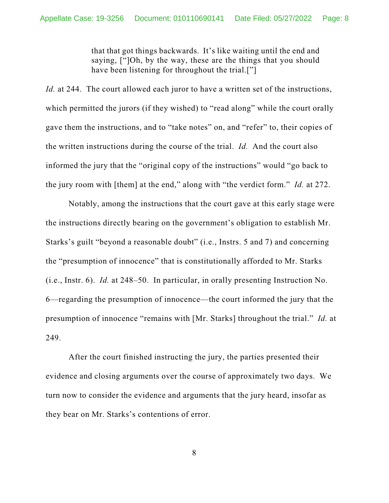that that got things backwards. It's like waiting until the end and saying, ["]Oh, by the way, these are the things that you should have been listening for throughout the trial.["]

*Id.* at 244. The court allowed each juror to have a written set of the instructions, which permitted the jurors (if they wished) to "read along" while the court orally gave them the instructions, and to "take notes" on, and "refer" to, their copies of the written instructions during the course of the trial. *Id.* And the court also informed the jury that the "original copy of the instructions" would "go back to the jury room with [them] at the end," along with "the verdict form." *Id.* at 272.

Notably, among the instructions that the court gave at this early stage were the instructions directly bearing on the government's obligation to establish Mr. Starks's guilt "beyond a reasonable doubt" (i.e., Instrs. 5 and 7) and concerning the "presumption of innocence" that is constitutionally afforded to Mr. Starks (i.e., Instr. 6). *Id.* at 248–50. In particular, in orally presenting Instruction No. 6—regarding the presumption of innocence—the court informed the jury that the presumption of innocence "remains with [Mr. Starks] throughout the trial." *Id.* at 249.

After the court finished instructing the jury, the parties presented their evidence and closing arguments over the course of approximately two days. We turn now to consider the evidence and arguments that the jury heard, insofar as they bear on Mr. Starks's contentions of error.

8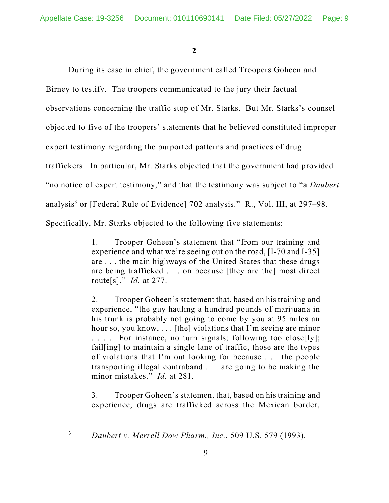**2**

During its case in chief, the government called Troopers Goheen and

Birney to testify. The troopers communicated to the jury their factual

observations concerning the traffic stop of Mr. Starks. But Mr. Starks's counsel

objected to five of the troopers' statements that he believed constituted improper

expert testimony regarding the purported patterns and practices of drug

traffickers. In particular, Mr. Starks objected that the government had provided

"no notice of expert testimony," and that the testimony was subject to "a *Daubert*

analysis 3 or [Federal Rule of Evidence] 702 analysis." R., Vol. III, at 297–98.

Specifically, Mr. Starks objected to the following five statements:

1. Trooper Goheen's statement that "from our training and experience and what we're seeing out on the road, [I-70 and I-35] are . . . the main highways of the United States that these drugs are being trafficked . . . on because [they are the] most direct route[s]." *Id.* at 277.

2. Trooper Goheen's statement that, based on his training and experience, "the guy hauling a hundred pounds of marijuana in his trunk is probably not going to come by you at 95 miles an hour so, you know, . . . [the] violations that I'm seeing are minor .... For instance, no turn signals; following too close[ly]; fail[ing] to maintain a single lane of traffic, those are the types of violations that I'm out looking for because . . . the people transporting illegal contraband . . . are going to be making the minor mistakes." *Id.* at 281.

3. Trooper Goheen's statement that, based on his training and experience, drugs are trafficked across the Mexican border,

<sup>3</sup> *Daubert v. Merrell Dow Pharm., Inc.*, 509 U.S. 579 (1993).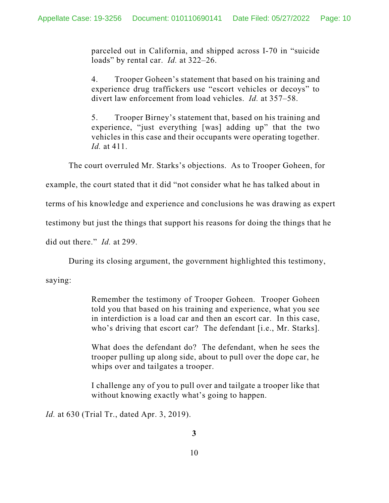parceled out in California, and shipped across I-70 in "suicide loads" by rental car. *Id.* at 322–26.

4. Trooper Goheen's statement that based on his training and experience drug traffickers use "escort vehicles or decoys" to divert law enforcement from load vehicles. *Id.* at 357–58.

5. Trooper Birney's statement that, based on his training and experience, "just everything [was] adding up" that the two vehicles in this case and their occupants were operating together. *Id.* at 411.

The court overruled Mr. Starks's objections. As to Trooper Goheen, for

example, the court stated that it did "not consider what he has talked about in

terms of his knowledge and experience and conclusions he was drawing as expert

testimony but just the things that support his reasons for doing the things that he

did out there." *Id.* at 299.

During its closing argument, the government highlighted this testimony,

saying:

Remember the testimony of Trooper Goheen. Trooper Goheen told you that based on his training and experience, what you see in interdiction is a load car and then an escort car. In this case, who's driving that escort car? The defendant [i.e., Mr. Starks].

What does the defendant do? The defendant, when he sees the trooper pulling up along side, about to pull over the dope car, he whips over and tailgates a trooper.

I challenge any of you to pull over and tailgate a trooper like that without knowing exactly what's going to happen.

*Id.* at 630 (Trial Tr., dated Apr. 3, 2019).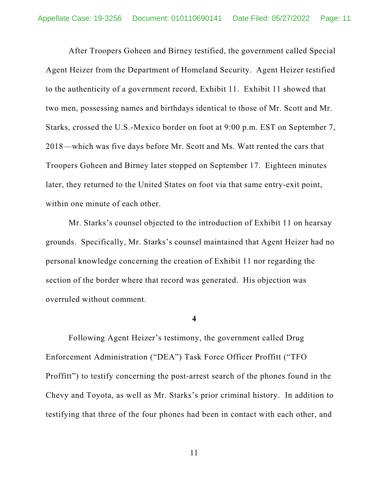After Troopers Goheen and Birney testified, the government called Special Agent Heizer from the Department of Homeland Security. Agent Heizer testified to the authenticity of a government record, Exhibit 11. Exhibit 11 showed that two men, possessing names and birthdays identical to those of Mr. Scott and Mr. Starks, crossed the U.S.-Mexico border on foot at 9:00 p.m. EST on September 7, 2018—which was five days before Mr. Scott and Ms. Watt rented the cars that Troopers Goheen and Birney later stopped on September 17. Eighteen minutes later, they returned to the United States on foot via that same entry-exit point, within one minute of each other.

Mr. Starks's counsel objected to the introduction of Exhibit 11 on hearsay grounds. Specifically, Mr. Starks's counsel maintained that Agent Heizer had no personal knowledge concerning the creation of Exhibit 11 nor regarding the section of the border where that record was generated. His objection was overruled without comment.

**4**

Following Agent Heizer's testimony, the government called Drug Enforcement Administration ("DEA") Task Force Officer Proffitt ("TFO Proffitt") to testify concerning the post-arrest search of the phones found in the Chevy and Toyota, as well as Mr. Starks's prior criminal history. In addition to testifying that three of the four phones had been in contact with each other, and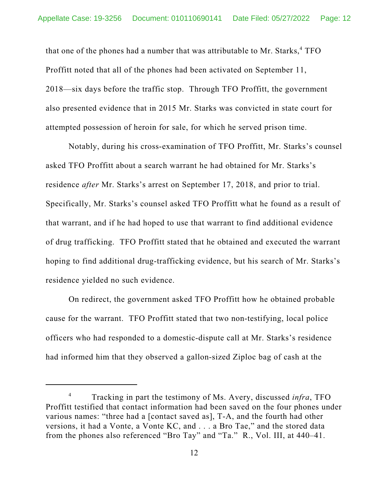that one of the phones had a number that was attributable to Mr. Starks, <sup>4</sup> TFO Proffitt noted that all of the phones had been activated on September 11, 2018—six days before the traffic stop. Through TFO Proffitt, the government also presented evidence that in 2015 Mr. Starks was convicted in state court for attempted possession of heroin for sale, for which he served prison time.

Notably, during his cross-examination of TFO Proffitt, Mr. Starks's counsel asked TFO Proffitt about a search warrant he had obtained for Mr. Starks's residence *after* Mr. Starks's arrest on September 17, 2018, and prior to trial. Specifically, Mr. Starks's counsel asked TFO Proffitt what he found as a result of that warrant, and if he had hoped to use that warrant to find additional evidence of drug trafficking. TFO Proffitt stated that he obtained and executed the warrant hoping to find additional drug-trafficking evidence, but his search of Mr. Starks's residence yielded no such evidence.

On redirect, the government asked TFO Proffitt how he obtained probable cause for the warrant. TFO Proffitt stated that two non-testifying, local police officers who had responded to a domestic-dispute call at Mr. Starks's residence had informed him that they observed a gallon-sized Ziploc bag of cash at the

<sup>4</sup> Tracking in part the testimony of Ms. Avery, discussed *infra*, TFO Proffitt testified that contact information had been saved on the four phones under various names: "three had a [contact saved as], T-A, and the fourth had other versions, it had a Vonte, a Vonte KC, and . . . a Bro Tae," and the stored data from the phones also referenced "Bro Tay" and "Ta." R., Vol. III, at 440–41.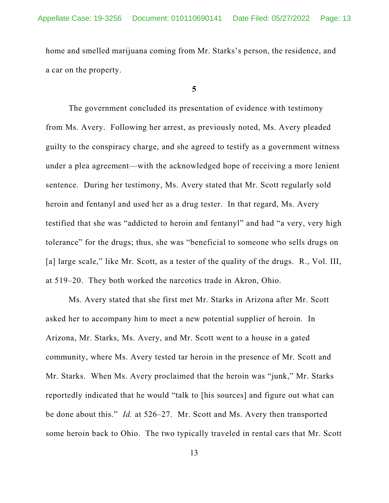home and smelled marijuana coming from Mr. Starks's person, the residence, and a car on the property.

**5**

The government concluded its presentation of evidence with testimony from Ms. Avery. Following her arrest, as previously noted, Ms. Avery pleaded guilty to the conspiracy charge, and she agreed to testify as a government witness under a plea agreement—with the acknowledged hope of receiving a more lenient sentence. During her testimony, Ms. Avery stated that Mr. Scott regularly sold heroin and fentanyl and used her as a drug tester. In that regard, Ms. Avery testified that she was "addicted to heroin and fentanyl" and had "a very, very high tolerance" for the drugs; thus, she was "beneficial to someone who sells drugs on [a] large scale," like Mr. Scott, as a tester of the quality of the drugs. R., Vol. III, at 519–20. They both worked the narcotics trade in Akron, Ohio.

Ms. Avery stated that she first met Mr. Starks in Arizona after Mr. Scott asked her to accompany him to meet a new potential supplier of heroin. In Arizona, Mr. Starks, Ms. Avery, and Mr. Scott went to a house in a gated community, where Ms. Avery tested tar heroin in the presence of Mr. Scott and Mr. Starks. When Ms. Avery proclaimed that the heroin was "junk," Mr. Starks reportedly indicated that he would "talk to [his sources] and figure out what can be done about this." *Id.* at 526–27. Mr. Scott and Ms. Avery then transported some heroin back to Ohio. The two typically traveled in rental cars that Mr. Scott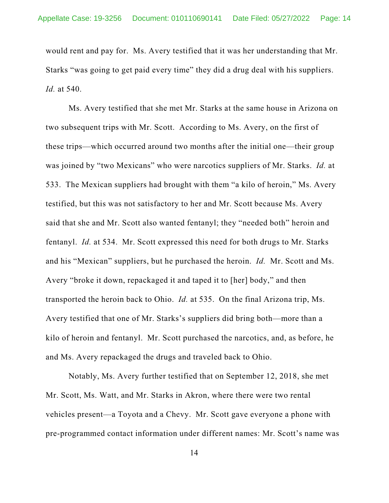would rent and pay for. Ms. Avery testified that it was her understanding that Mr. Starks "was going to get paid every time" they did a drug deal with his suppliers. *Id.* at 540.

Ms. Avery testified that she met Mr. Starks at the same house in Arizona on two subsequent trips with Mr. Scott. According to Ms. Avery, on the first of these trips—which occurred around two months after the initial one—their group was joined by "two Mexicans" who were narcotics suppliers of Mr. Starks. *Id.* at 533. The Mexican suppliers had brought with them "a kilo of heroin," Ms. Avery testified, but this was not satisfactory to her and Mr. Scott because Ms. Avery said that she and Mr. Scott also wanted fentanyl; they "needed both" heroin and fentanyl. *Id.* at 534. Mr. Scott expressed this need for both drugs to Mr. Starks and his "Mexican" suppliers, but he purchased the heroin. *Id.* Mr. Scott and Ms. Avery "broke it down, repackaged it and taped it to [her] body," and then transported the heroin back to Ohio. *Id.* at 535. On the final Arizona trip, Ms. Avery testified that one of Mr. Starks's suppliers did bring both—more than a kilo of heroin and fentanyl. Mr. Scott purchased the narcotics, and, as before, he and Ms. Avery repackaged the drugs and traveled back to Ohio.

Notably, Ms. Avery further testified that on September 12, 2018, she met Mr. Scott, Ms. Watt, and Mr. Starks in Akron, where there were two rental vehicles present—a Toyota and a Chevy. Mr. Scott gave everyone a phone with pre-programmed contact information under different names: Mr. Scott's name was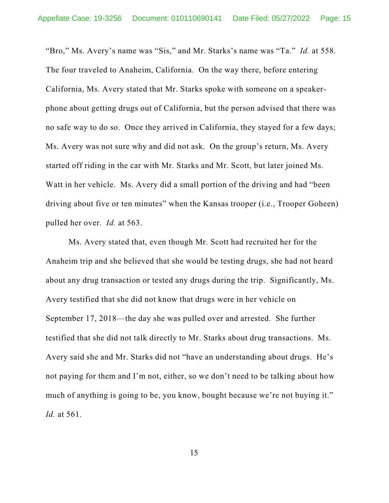"Bro," Ms. Avery's name was "Sis," and Mr. Starks's name was "Ta." *Id.* at 558. The four traveled to Anaheim, California. On the way there, before entering California, Ms. Avery stated that Mr. Starks spoke with someone on a speakerphone about getting drugs out of California, but the person advised that there was no safe way to do so. Once they arrived in California, they stayed for a few days; Ms. Avery was not sure why and did not ask. On the group's return, Ms. Avery started off riding in the car with Mr. Starks and Mr. Scott, but later joined Ms. Watt in her vehicle. Ms. Avery did a small portion of the driving and had "been driving about five or ten minutes" when the Kansas trooper (i.e., Trooper Goheen) pulled her over. *Id.* at 563.

Ms. Avery stated that, even though Mr. Scott had recruited her for the Anaheim trip and she believed that she would be testing drugs, she had not heard about any drug transaction or tested any drugs during the trip. Significantly, Ms. Avery testified that she did not know that drugs were in her vehicle on September 17, 2018—the day she was pulled over and arrested. She further testified that she did not talk directly to Mr. Starks about drug transactions. Ms. Avery said she and Mr. Starks did not "have an understanding about drugs. He's not paying for them and I'm not, either, so we don't need to be talking about how much of anything is going to be, you know, bought because we're not buying it." *Id.* at 561.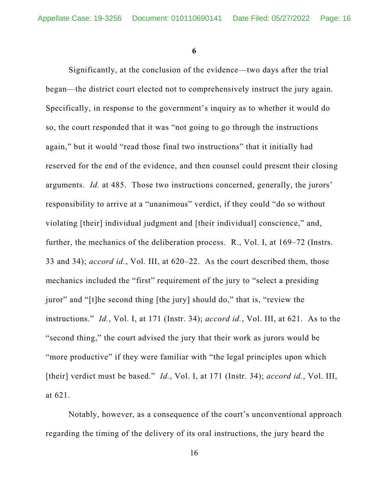**6**

Significantly, at the conclusion of the evidence—two days after the trial began—the district court elected not to comprehensively instruct the jury again. Specifically, in response to the government's inquiry as to whether it would do so, the court responded that it was "not going to go through the instructions again," but it would "read those final two instructions" that it initially had reserved for the end of the evidence, and then counsel could present their closing arguments. *Id.* at 485. Those two instructions concerned, generally, the jurors' responsibility to arrive at a "unanimous" verdict, if they could "do so without violating [their] individual judgment and [their individual] conscience," and, further, the mechanics of the deliberation process. R., Vol. I, at 169–72 (Instrs. 33 and 34); *accord id.*, Vol. III, at 620–22. As the court described them, those mechanics included the "first" requirement of the jury to "select a presiding juror" and "[t]he second thing [the jury] should do," that is, "review the instructions." *Id.*, Vol. I, at 171 (Instr. 34); *accord id.*, Vol. III, at 621. As to the "second thing," the court advised the jury that their work as jurors would be "more productive" if they were familiar with "the legal principles upon which [their] verdict must be based." *Id.*, Vol. I, at 171 (Instr. 34); *accord id.*, Vol. III, at 621.

Notably, however, as a consequence of the court's unconventional approach regarding the timing of the delivery of its oral instructions, the jury heard the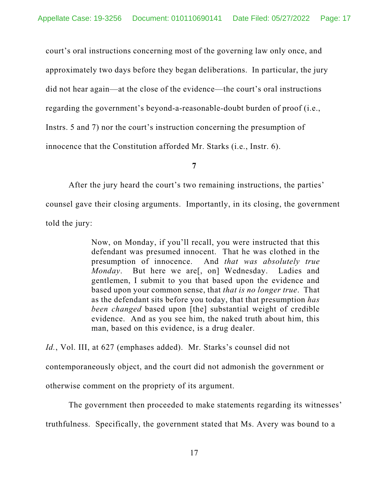court's oral instructions concerning most of the governing law only once, and approximately two days before they began deliberations. In particular, the jury did not hear again—at the close of the evidence—the court's oral instructions regarding the government's beyond-a-reasonable-doubt burden of proof (i.e., Instrs. 5 and 7) nor the court's instruction concerning the presumption of innocence that the Constitution afforded Mr. Starks (i.e., Instr. 6).

**7**

After the jury heard the court's two remaining instructions, the parties' counsel gave their closing arguments. Importantly, in its closing, the government told the jury:

> Now, on Monday, if you'll recall, you were instructed that this defendant was presumed innocent. That he was clothed in the presumption of innocence. And *that was absolutely true Monday*. But here we are[, on] Wednesday. Ladies and gentlemen, I submit to you that based upon the evidence and based upon your common sense, that *that is no longer true*. That as the defendant sits before you today, that that presumption *has been changed* based upon [the] substantial weight of credible evidence. And as you see him, the naked truth about him, this man, based on this evidence, is a drug dealer.

*Id.*, Vol. III, at 627 (emphases added). Mr. Starks's counsel did not contemporaneously object, and the court did not admonish the government or otherwise comment on the propriety of its argument.

The government then proceeded to make statements regarding its witnesses' truthfulness. Specifically, the government stated that Ms. Avery was bound to a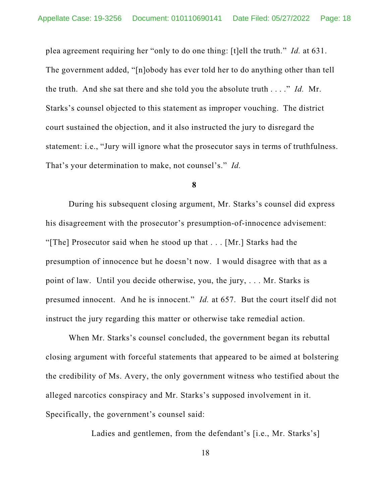plea agreement requiring her "only to do one thing: [t]ell the truth." *Id.* at 631. The government added, "[n]obody has ever told her to do anything other than tell the truth. And she sat there and she told you the absolute truth . . . ." *Id.* Mr. Starks's counsel objected to this statement as improper vouching. The district court sustained the objection, and it also instructed the jury to disregard the statement: i.e., "Jury will ignore what the prosecutor says in terms of truthfulness. That's your determination to make, not counsel's." *Id.*

### **8**

During his subsequent closing argument, Mr. Starks's counsel did express his disagreement with the prosecutor's presumption-of-innocence advisement: "[The] Prosecutor said when he stood up that . . . [Mr.] Starks had the presumption of innocence but he doesn't now. I would disagree with that as a point of law. Until you decide otherwise, you, the jury, . . . Mr. Starks is presumed innocent. And he is innocent." *Id.* at 657. But the court itself did not instruct the jury regarding this matter or otherwise take remedial action.

When Mr. Starks's counsel concluded, the government began its rebuttal closing argument with forceful statements that appeared to be aimed at bolstering the credibility of Ms. Avery, the only government witness who testified about the alleged narcotics conspiracy and Mr. Starks's supposed involvement in it. Specifically, the government's counsel said:

Ladies and gentlemen, from the defendant's [i.e., Mr. Starks's]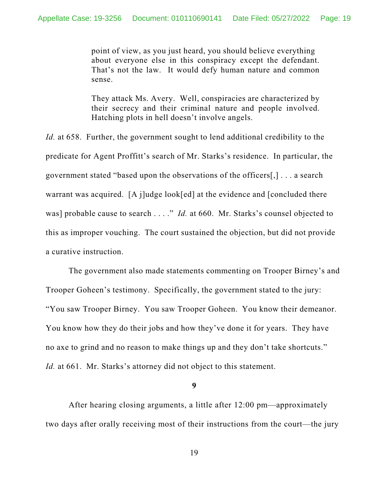point of view, as you just heard, you should believe everything about everyone else in this conspiracy except the defendant. That's not the law. It would defy human nature and common sense.

They attack Ms. Avery. Well, conspiracies are characterized by their secrecy and their criminal nature and people involved. Hatching plots in hell doesn't involve angels.

*Id.* at 658. Further, the government sought to lend additional credibility to the predicate for Agent Proffitt's search of Mr. Starks's residence. In particular, the government stated "based upon the observations of the officers[,] . . . a search warrant was acquired. [A j]udge look[ed] at the evidence and [concluded there was] probable cause to search . . . ." *Id.* at 660. Mr. Starks's counsel objected to this as improper vouching. The court sustained the objection, but did not provide a curative instruction.

The government also made statements commenting on Trooper Birney's and Trooper Goheen's testimony. Specifically, the government stated to the jury: "You saw Trooper Birney. You saw Trooper Goheen. You know their demeanor. You know how they do their jobs and how they've done it for years. They have no axe to grind and no reason to make things up and they don't take shortcuts." *Id.* at 661. Mr. Starks's attorney did not object to this statement.

### **9**

After hearing closing arguments, a little after 12:00 pm—approximately two days after orally receiving most of their instructions from the court—the jury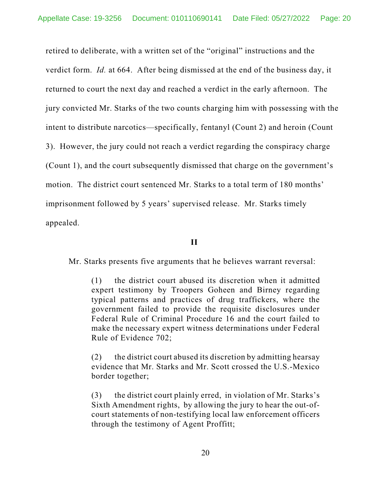retired to deliberate, with a written set of the "original" instructions and the verdict form. *Id.* at 664. After being dismissed at the end of the business day, it returned to court the next day and reached a verdict in the early afternoon. The jury convicted Mr. Starks of the two counts charging him with possessing with the intent to distribute narcotics—specifically, fentanyl (Count 2) and heroin (Count 3). However, the jury could not reach a verdict regarding the conspiracy charge (Count 1), and the court subsequently dismissed that charge on the government's motion. The district court sentenced Mr. Starks to a total term of 180 months' imprisonment followed by 5 years' supervised release. Mr. Starks timely appealed.

## **II**

Mr. Starks presents five arguments that he believes warrant reversal:

(1) the district court abused its discretion when it admitted expert testimony by Troopers Goheen and Birney regarding typical patterns and practices of drug traffickers, where the government failed to provide the requisite disclosures under Federal Rule of Criminal Procedure 16 and the court failed to make the necessary expert witness determinations under Federal Rule of Evidence 702;

(2) the district court abused its discretion by admitting hearsay evidence that Mr. Starks and Mr. Scott crossed the U.S.-Mexico border together;

(3) the district court plainly erred, in violation of Mr. Starks's Sixth Amendment rights, by allowing the jury to hear the out-ofcourt statements of non-testifying local law enforcement officers through the testimony of Agent Proffitt;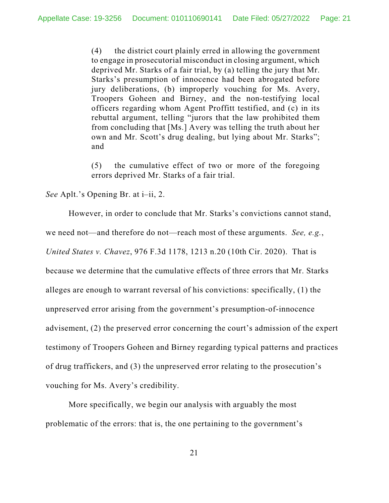(4) the district court plainly erred in allowing the government to engage in prosecutorial misconduct in closing argument, which deprived Mr. Starks of a fair trial, by (a) telling the jury that Mr. Starks's presumption of innocence had been abrogated before jury deliberations, (b) improperly vouching for Ms. Avery, Troopers Goheen and Birney, and the non-testifying local officers regarding whom Agent Proffitt testified, and (c) in its rebuttal argument, telling "jurors that the law prohibited them from concluding that [Ms.] Avery was telling the truth about her own and Mr. Scott's drug dealing, but lying about Mr. Starks"; and

(5) the cumulative effect of two or more of the foregoing errors deprived Mr. Starks of a fair trial.

*See* Aplt.'s Opening Br. at i–ii, 2.

However, in order to conclude that Mr. Starks's convictions cannot stand, we need not—and therefore do not—reach most of these arguments. *See, e.g.*, *United States v. Chavez*, 976 F.3d 1178, 1213 n.20 (10th Cir. 2020). That is because we determine that the cumulative effects of three errors that Mr. Starks alleges are enough to warrant reversal of his convictions: specifically, (1) the unpreserved error arising from the government's presumption-of-innocence advisement, (2) the preserved error concerning the court's admission of the expert testimony of Troopers Goheen and Birney regarding typical patterns and practices of drug traffickers, and (3) the unpreserved error relating to the prosecution's vouching for Ms. Avery's credibility.

More specifically, we begin our analysis with arguably the most problematic of the errors: that is, the one pertaining to the government's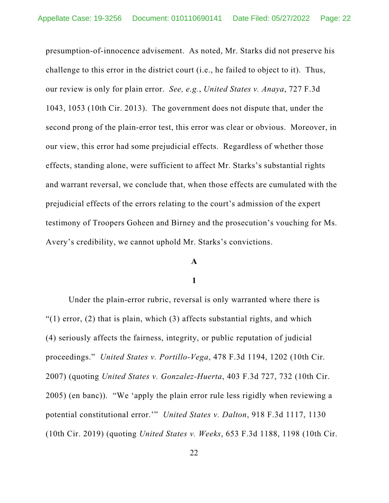presumption-of-innocence advisement. As noted, Mr. Starks did not preserve his challenge to this error in the district court (i.e., he failed to object to it). Thus, our review is only for plain error. *See, e.g.*, *United States v. Anaya*, 727 F.3d 1043, 1053 (10th Cir. 2013). The government does not dispute that, under the second prong of the plain-error test, this error was clear or obvious. Moreover, in our view, this error had some prejudicial effects. Regardless of whether those effects, standing alone, were sufficient to affect Mr. Starks's substantial rights and warrant reversal, we conclude that, when those effects are cumulated with the prejudicial effects of the errors relating to the court's admission of the expert testimony of Troopers Goheen and Birney and the prosecution's vouching for Ms. Avery's credibility, we cannot uphold Mr. Starks's convictions.

## **A**

### **1**

Under the plain-error rubric, reversal is only warranted where there is "(1) error, (2) that is plain, which  $(3)$  affects substantial rights, and which (4) seriously affects the fairness, integrity, or public reputation of judicial proceedings." *United States v. Portillo-Vega*, 478 F.3d 1194, 1202 (10th Cir. 2007) (quoting *United States v. Gonzalez-Huerta*, 403 F.3d 727, 732 (10th Cir. 2005) (en banc)). "We 'apply the plain error rule less rigidly when reviewing a potential constitutional error.'" *United States v. Dalton*, 918 F.3d 1117, 1130 (10th Cir. 2019) (quoting *United States v. Weeks*, 653 F.3d 1188, 1198 (10th Cir.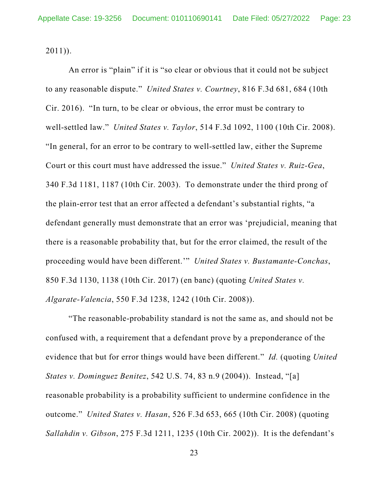2011)).

An error is "plain" if it is "so clear or obvious that it could not be subject to any reasonable dispute." *United States v. Courtney*, 816 F.3d 681, 684 (10th Cir. 2016). "In turn, to be clear or obvious, the error must be contrary to well-settled law." *United States v. Taylor*, 514 F.3d 1092, 1100 (10th Cir. 2008). "In general, for an error to be contrary to well-settled law, either the Supreme Court or this court must have addressed the issue." *United States v. Ruiz-Gea*, 340 F.3d 1181, 1187 (10th Cir. 2003). To demonstrate under the third prong of the plain-error test that an error affected a defendant's substantial rights, "a defendant generally must demonstrate that an error was 'prejudicial, meaning that there is a reasonable probability that, but for the error claimed, the result of the proceeding would have been different.'" *United States v. Bustamante-Conchas*, 850 F.3d 1130, 1138 (10th Cir. 2017) (en banc) (quoting *United States v. Algarate-Valencia*, 550 F.3d 1238, 1242 (10th Cir. 2008)).

"The reasonable-probability standard is not the same as, and should not be confused with, a requirement that a defendant prove by a preponderance of the evidence that but for error things would have been different." *Id.* (quoting *United States v. Dominguez Benitez*, 542 U.S. 74, 83 n.9 (2004)). Instead, "[a] reasonable probability is a probability sufficient to undermine confidence in the outcome." *United States v. Hasan*, 526 F.3d 653, 665 (10th Cir. 2008) (quoting *Sallahdin v. Gibson*, 275 F.3d 1211, 1235 (10th Cir. 2002)). It is the defendant's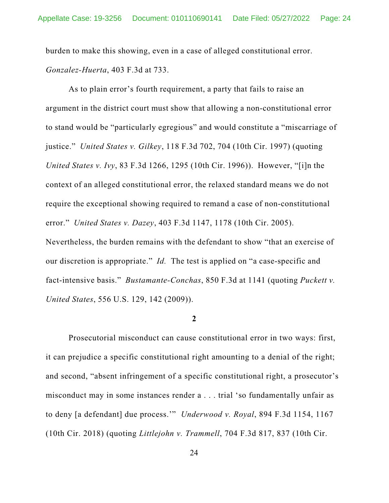burden to make this showing, even in a case of alleged constitutional error. *Gonzalez-Huerta*, 403 F.3d at 733.

As to plain error's fourth requirement, a party that fails to raise an argument in the district court must show that allowing a non-constitutional error to stand would be "particularly egregious" and would constitute a "miscarriage of justice." *United States v. Gilkey*, 118 F.3d 702, 704 (10th Cir. 1997) (quoting *United States v. Ivy*, 83 F.3d 1266, 1295 (10th Cir. 1996)). However, "[i]n the context of an alleged constitutional error, the relaxed standard means we do not require the exceptional showing required to remand a case of non-constitutional error." *United States v. Dazey*, 403 F.3d 1147, 1178 (10th Cir. 2005). Nevertheless, the burden remains with the defendant to show "that an exercise of

our discretion is appropriate." *Id.* The test is applied on "a case-specific and fact-intensive basis." *Bustamante-Conchas*, 850 F.3d at 1141 (quoting *Puckett v. United States*, 556 U.S. 129, 142 (2009)).

## **2**

Prosecutorial misconduct can cause constitutional error in two ways: first, it can prejudice a specific constitutional right amounting to a denial of the right; and second, "absent infringement of a specific constitutional right, a prosecutor's misconduct may in some instances render a . . . trial 'so fundamentally unfair as to deny [a defendant] due process.'" *Underwood v. Royal*, 894 F.3d 1154, 1167 (10th Cir. 2018) (quoting *Littlejohn v. Trammell*, 704 F.3d 817, 837 (10th Cir.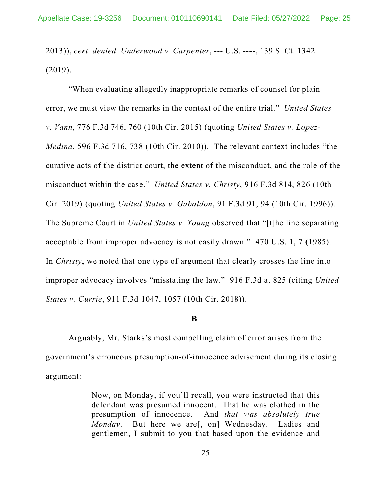2013)), *cert. denied, Underwood v. Carpenter*, --- U.S. ----, 139 S. Ct. 1342 (2019).

"When evaluating allegedly inappropriate remarks of counsel for plain error, we must view the remarks in the context of the entire trial." *United States v. Vann*, 776 F.3d 746, 760 (10th Cir. 2015) (quoting *United States v. Lopez-Medina*, 596 F.3d 716, 738 (10th Cir. 2010)). The relevant context includes "the curative acts of the district court, the extent of the misconduct, and the role of the misconduct within the case." *United States v. Christy*, 916 F.3d 814, 826 (10th Cir. 2019) (quoting *United States v. Gabaldon*, 91 F.3d 91, 94 (10th Cir. 1996)). The Supreme Court in *United States v. Young* observed that "[t]he line separating acceptable from improper advocacy is not easily drawn." 470 U.S. 1, 7 (1985). In *Christy*, we noted that one type of argument that clearly crosses the line into improper advocacy involves "misstating the law." 916 F.3d at 825 (citing *United States v. Currie*, 911 F.3d 1047, 1057 (10th Cir. 2018)).

### **B**

Arguably, Mr. Starks's most compelling claim of error arises from the government's erroneous presumption-of-innocence advisement during its closing argument:

> Now, on Monday, if you'll recall, you were instructed that this defendant was presumed innocent. That he was clothed in the presumption of innocence. And *that was absolutely true Monday*. But here we are[, on] Wednesday. Ladies and gentlemen, I submit to you that based upon the evidence and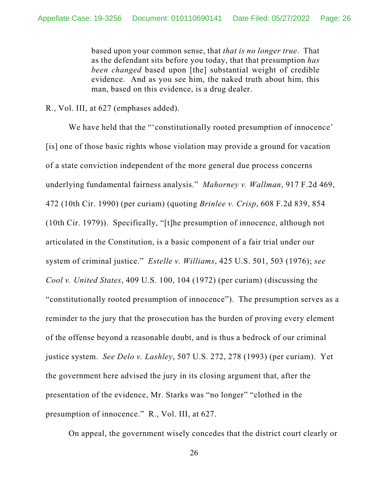based upon your common sense, that *that is no longer true*. That as the defendant sits before you today, that that presumption *has been changed* based upon [the] substantial weight of credible evidence. And as you see him, the naked truth about him, this man, based on this evidence, is a drug dealer.

R., Vol. III, at 627 (emphases added).

We have held that the "'constitutionally rooted presumption of innocence' [is] one of those basic rights whose violation may provide a ground for vacation of a state conviction independent of the more general due process concerns underlying fundamental fairness analysis." *Mahorney v. Wallman*, 917 F.2d 469, 472 (10th Cir. 1990) (per curiam) (quoting *Brinlee v. Crisp*, 608 F.2d 839, 854 (10th Cir. 1979)). Specifically, "[t]he presumption of innocence, although not articulated in the Constitution, is a basic component of a fair trial under our system of criminal justice." *Estelle v. Williams*, 425 U.S. 501, 503 (1976); *see Cool v. United States*, 409 U.S. 100, 104 (1972) (per curiam) (discussing the "constitutionally rooted presumption of innocence"). The presumption serves as a reminder to the jury that the prosecution has the burden of proving every element of the offense beyond a reasonable doubt, and is thus a bedrock of our criminal justice system. *See Delo v. Lashley*, 507 U.S. 272, 278 (1993) (per curiam). Yet the government here advised the jury in its closing argument that, after the presentation of the evidence, Mr. Starks was "no longer" "clothed in the presumption of innocence." R., Vol. III, at 627.

On appeal, the government wisely concedes that the district court clearly or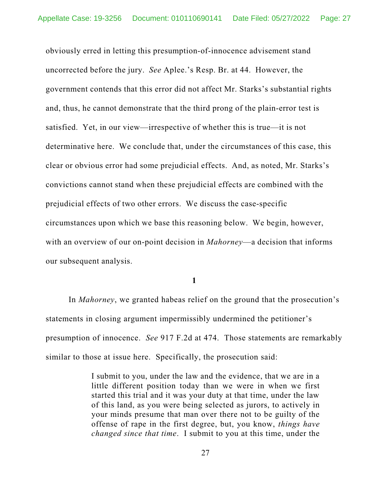obviously erred in letting this presumption-of-innocence advisement stand uncorrected before the jury. *See* Aplee.'s Resp. Br. at 44. However, the government contends that this error did not affect Mr. Starks's substantial rights and, thus, he cannot demonstrate that the third prong of the plain-error test is satisfied. Yet, in our view—irrespective of whether this is true—it is not determinative here. We conclude that, under the circumstances of this case, this clear or obvious error had some prejudicial effects. And, as noted, Mr. Starks's convictions cannot stand when these prejudicial effects are combined with the prejudicial effects of two other errors. We discuss the case-specific circumstances upon which we base this reasoning below. We begin, however, with an overview of our on-point decision in *Mahorney*—a decision that informs our subsequent analysis.

**1**

In *Mahorney*, we granted habeas relief on the ground that the prosecution's statements in closing argument impermissibly undermined the petitioner's presumption of innocence. *See* 917 F.2d at 474. Those statements are remarkably similar to those at issue here. Specifically, the prosecution said:

> I submit to you, under the law and the evidence, that we are in a little different position today than we were in when we first started this trial and it was your duty at that time, under the law of this land, as you were being selected as jurors, to actively in your minds presume that man over there not to be guilty of the offense of rape in the first degree, but, you know, *things have changed since that time*. I submit to you at this time, under the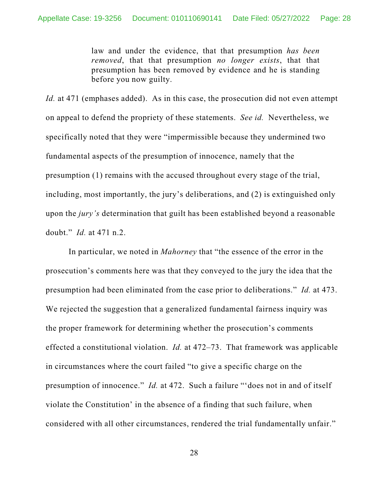law and under the evidence, that that presumption *has been removed*, that that presumption *no longer exists*, that that presumption has been removed by evidence and he is standing before you now guilty.

*Id.* at 471 (emphases added). As in this case, the prosecution did not even attempt on appeal to defend the propriety of these statements. *See id.* Nevertheless, we specifically noted that they were "impermissible because they undermined two fundamental aspects of the presumption of innocence, namely that the presumption (1) remains with the accused throughout every stage of the trial, including, most importantly, the jury's deliberations, and (2) is extinguished only upon the *jury's* determination that guilt has been established beyond a reasonable doubt." *Id.* at 471 n.2.

In particular, we noted in *Mahorney* that "the essence of the error in the prosecution's comments here was that they conveyed to the jury the idea that the presumption had been eliminated from the case prior to deliberations." *Id.* at 473. We rejected the suggestion that a generalized fundamental fairness inquiry was the proper framework for determining whether the prosecution's comments effected a constitutional violation. *Id.* at 472–73. That framework was applicable in circumstances where the court failed "to give a specific charge on the presumption of innocence." *Id.* at 472. Such a failure "'does not in and of itself violate the Constitution' in the absence of a finding that such failure, when considered with all other circumstances, rendered the trial fundamentally unfair."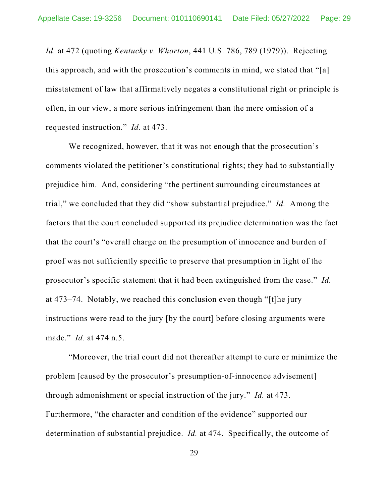*Id.* at 472 (quoting *Kentucky v. Whorton*, 441 U.S. 786, 789 (1979)). Rejecting this approach, and with the prosecution's comments in mind, we stated that "[a] misstatement of law that affirmatively negates a constitutional right or principle is often, in our view, a more serious infringement than the mere omission of a requested instruction." *Id.* at 473.

We recognized, however, that it was not enough that the prosecution's comments violated the petitioner's constitutional rights; they had to substantially prejudice him. And, considering "the pertinent surrounding circumstances at trial," we concluded that they did "show substantial prejudice." *Id.* Among the factors that the court concluded supported its prejudice determination was the fact that the court's "overall charge on the presumption of innocence and burden of proof was not sufficiently specific to preserve that presumption in light of the prosecutor's specific statement that it had been extinguished from the case." *Id.* at 473–74. Notably, we reached this conclusion even though "[t]he jury instructions were read to the jury [by the court] before closing arguments were made." *Id.* at 474 n.5.

"Moreover, the trial court did not thereafter attempt to cure or minimize the problem [caused by the prosecutor's presumption-of-innocence advisement] through admonishment or special instruction of the jury." *Id.* at 473. Furthermore, "the character and condition of the evidence" supported our determination of substantial prejudice. *Id.* at 474. Specifically, the outcome of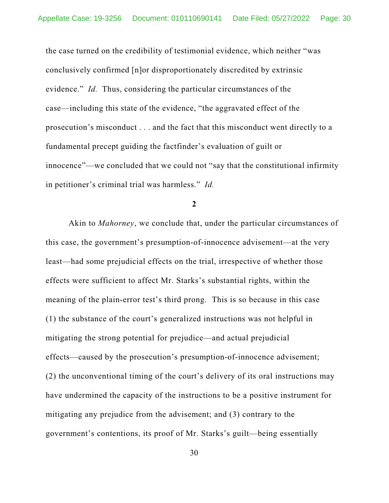the case turned on the credibility of testimonial evidence, which neither "was conclusively confirmed [n]or disproportionately discredited by extrinsic evidence." *Id.* Thus, considering the particular circumstances of the case—including this state of the evidence, "the aggravated effect of the prosecution's misconduct . . . and the fact that this misconduct went directly to a fundamental precept guiding the factfinder's evaluation of guilt or innocence"—we concluded that we could not "say that the constitutional infirmity in petitioner's criminal trial was harmless." *Id.*

**2**

Akin to *Mahorney*, we conclude that, under the particular circumstances of this case, the government's presumption-of-innocence advisement—at the very least—had some prejudicial effects on the trial, irrespective of whether those effects were sufficient to affect Mr. Starks's substantial rights, within the meaning of the plain-error test's third prong. This is so because in this case (1) the substance of the court's generalized instructions was not helpful in mitigating the strong potential for prejudice—and actual prejudicial effects—caused by the prosecution's presumption-of-innocence advisement; (2) the unconventional timing of the court's delivery of its oral instructions may have undermined the capacity of the instructions to be a positive instrument for mitigating any prejudice from the advisement; and (3) contrary to the government's contentions, its proof of Mr. Starks's guilt—being essentially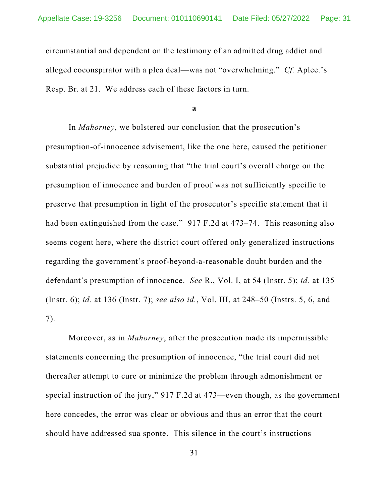circumstantial and dependent on the testimony of an admitted drug addict and alleged coconspirator with a plea deal—was not "overwhelming." *Cf.* Aplee.'s Resp. Br. at 21. We address each of these factors in turn.

**a**

In *Mahorney*, we bolstered our conclusion that the prosecution's presumption-of-innocence advisement, like the one here, caused the petitioner substantial prejudice by reasoning that "the trial court's overall charge on the presumption of innocence and burden of proof was not sufficiently specific to preserve that presumption in light of the prosecutor's specific statement that it had been extinguished from the case." 917 F.2d at 473–74. This reasoning also seems cogent here, where the district court offered only generalized instructions regarding the government's proof-beyond-a-reasonable doubt burden and the defendant's presumption of innocence. *See* R., Vol. I, at 54 (Instr. 5); *id.* at 135 (Instr. 6); *id.* at 136 (Instr. 7); *see also id.*, Vol. III, at 248–50 (Instrs. 5, 6, and 7).

Moreover, as in *Mahorney*, after the prosecution made its impermissible statements concerning the presumption of innocence, "the trial court did not thereafter attempt to cure or minimize the problem through admonishment or special instruction of the jury," 917 F.2d at 473—even though, as the government here concedes, the error was clear or obvious and thus an error that the court should have addressed sua sponte. This silence in the court's instructions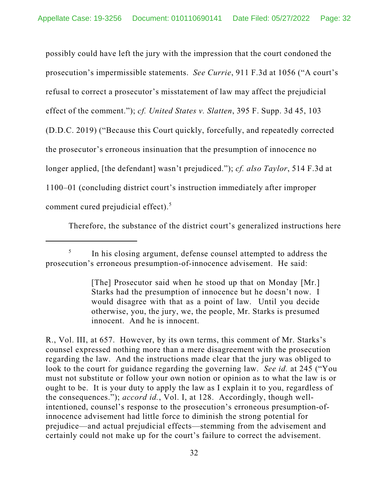possibly could have left the jury with the impression that the court condoned the prosecution's impermissible statements. *See Currie*, 911 F.3d at 1056 ("A court's refusal to correct a prosecutor's misstatement of law may affect the prejudicial effect of the comment."); *cf. United States v. Slatten*, 395 F. Supp. 3d 45, 103 (D.D.C. 2019) ("Because this Court quickly, forcefully, and repeatedly corrected the prosecutor's erroneous insinuation that the presumption of innocence no longer applied, [the defendant] wasn't prejudiced."); *cf. also Taylor*, 514 F.3d at 1100–01 (concluding district court's instruction immediately after improper comment cured prejudicial effect). 5

Therefore, the substance of the district court's generalized instructions here

[The] Prosecutor said when he stood up that on Monday [Mr.] Starks had the presumption of innocence but he doesn't now. I would disagree with that as a point of law. Until you decide otherwise, you, the jury, we, the people, Mr. Starks is presumed innocent. And he is innocent.

R., Vol. III, at 657. However, by its own terms, this comment of Mr. Starks's counsel expressed nothing more than a mere disagreement with the prosecution regarding the law. And the instructions made clear that the jury was obliged to look to the court for guidance regarding the governing law. *See id.* at 245 ("You must not substitute or follow your own notion or opinion as to what the law is or ought to be. It is your duty to apply the law as I explain it to you, regardless of the consequences."); *accord id.*, Vol. I, at 128. Accordingly, though wellintentioned, counsel's response to the prosecution's erroneous presumption-ofinnocence advisement had little force to diminish the strong potential for prejudice—and actual prejudicial effects—stemming from the advisement and certainly could not make up for the court's failure to correct the advisement.

<sup>5</sup> In his closing argument, defense counsel attempted to address the prosecution's erroneous presumption-of-innocence advisement. He said: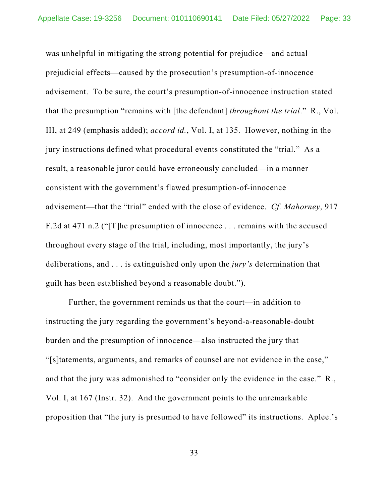was unhelpful in mitigating the strong potential for prejudice—and actual prejudicial effects—caused by the prosecution's presumption-of-innocence advisement. To be sure, the court's presumption-of-innocence instruction stated that the presumption "remains with [the defendant] *throughout the trial*." R., Vol. III, at 249 (emphasis added); *accord id.*, Vol. I, at 135. However, nothing in the jury instructions defined what procedural events constituted the "trial." As a result, a reasonable juror could have erroneously concluded—in a manner consistent with the government's flawed presumption-of-innocence advisement—that the "trial" ended with the close of evidence. *Cf. Mahorney*, 917 F.2d at 471 n.2 ("[T]he presumption of innocence . . . remains with the accused throughout every stage of the trial, including, most importantly, the jury's deliberations, and . . . is extinguished only upon the *jury's* determination that guilt has been established beyond a reasonable doubt.").

Further, the government reminds us that the court—in addition to instructing the jury regarding the government's beyond-a-reasonable-doubt burden and the presumption of innocence—also instructed the jury that "[s]tatements, arguments, and remarks of counsel are not evidence in the case," and that the jury was admonished to "consider only the evidence in the case." R., Vol. I, at 167 (Instr. 32). And the government points to the unremarkable proposition that "the jury is presumed to have followed" its instructions. Aplee.'s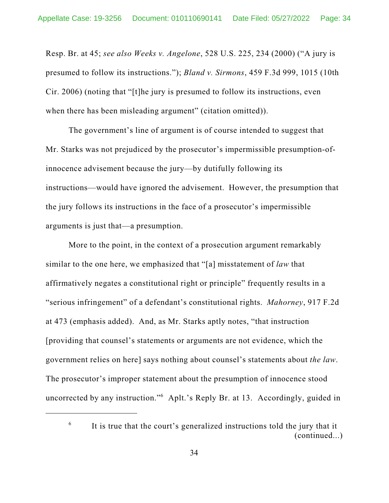Resp. Br. at 45; *see also Weeks v. Angelone*, 528 U.S. 225, 234 (2000) ("A jury is presumed to follow its instructions."); *Bland v. Sirmons*, 459 F.3d 999, 1015 (10th Cir. 2006) (noting that "[t]he jury is presumed to follow its instructions, even when there has been misleading argument" (citation omitted)).

The government's line of argument is of course intended to suggest that Mr. Starks was not prejudiced by the prosecutor's impermissible presumption-ofinnocence advisement because the jury—by dutifully following its instructions—would have ignored the advisement. However, the presumption that the jury follows its instructions in the face of a prosecutor's impermissible arguments is just that—a presumption.

More to the point, in the context of a prosecution argument remarkably similar to the one here, we emphasized that "[a] misstatement of *law* that affirmatively negates a constitutional right or principle" frequently results in a "serious infringement" of a defendant's constitutional rights. *Mahorney*, 917 F.2d at 473 (emphasis added). And, as Mr. Starks aptly notes, "that instruction [providing that counsel's statements or arguments are not evidence, which the government relies on here] says nothing about counsel's statements about *the law*. The prosecutor's improper statement about the presumption of innocence stood uncorrected by any instruction." <sup>6</sup> Aplt.'s Reply Br. at 13. Accordingly, guided in

<sup>6</sup>

It is true that the court's generalized instructions told the jury that it (continued...)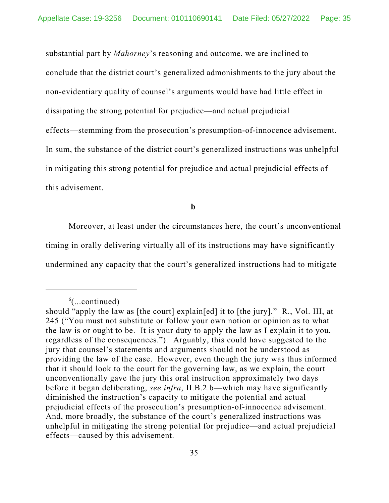substantial part by *Mahorney*'s reasoning and outcome, we are inclined to conclude that the district court's generalized admonishments to the jury about the non-evidentiary quality of counsel's arguments would have had little effect in dissipating the strong potential for prejudice—and actual prejudicial effects—stemming from the prosecution's presumption-of-innocence advisement. In sum, the substance of the district court's generalized instructions was unhelpful in mitigating this strong potential for prejudice and actual prejudicial effects of this advisement.

**b**

Moreover, at least under the circumstances here, the court's unconventional timing in orally delivering virtually all of its instructions may have significantly undermined any capacity that the court's generalized instructions had to mitigate

 $6$ (...continued)

should "apply the law as [the court] explain[ed] it to [the jury]." R., Vol. III, at 245 ("You must not substitute or follow your own notion or opinion as to what the law is or ought to be. It is your duty to apply the law as I explain it to you, regardless of the consequences."). Arguably, this could have suggested to the jury that counsel's statements and arguments should not be understood as providing the law of the case. However, even though the jury was thus informed that it should look to the court for the governing law, as we explain, the court unconventionally gave the jury this oral instruction approximately two days before it began deliberating, *see infra*, II.B.2.b—which may have significantly diminished the instruction's capacity to mitigate the potential and actual prejudicial effects of the prosecution's presumption-of-innocence advisement. And, more broadly, the substance of the court's generalized instructions was unhelpful in mitigating the strong potential for prejudice—and actual prejudicial effects—caused by this advisement.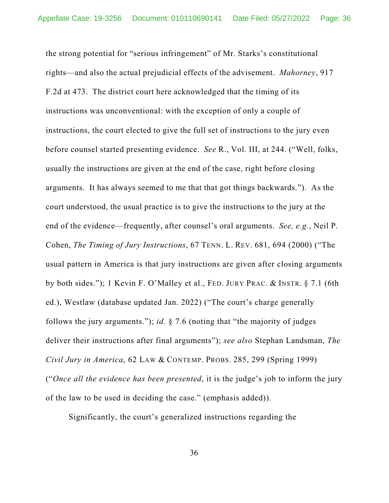the strong potential for "serious infringement" of Mr. Starks's constitutional rights—and also the actual prejudicial effects of the advisement. *Mahorney*, 917 F.2d at 473. The district court here acknowledged that the timing of its instructions was unconventional: with the exception of only a couple of instructions, the court elected to give the full set of instructions to the jury even before counsel started presenting evidence. *See* R., Vol. III, at 244. ("Well, folks, usually the instructions are given at the end of the case, right before closing arguments. It has always seemed to me that that got things backwards."). As the court understood, the usual practice is to give the instructions to the jury at the end of the evidence—frequently, after counsel's oral arguments. *See, e.g.*, Neil P. Cohen, *The Timing of Jury Instructions*, 67 TENN. L. REV. 681, 694 (2000) ("The usual pattern in America is that jury instructions are given after closing arguments by both sides."); 1 Kevin F. O'Malley et al., FED. JURY PRAC. & INSTR. § 7.1 (6th ed.), Westlaw (database updated Jan. 2022) ("The court's charge generally follows the jury arguments."); *id.* § 7.6 (noting that "the majority of judges deliver their instructions after final arguments"); *see also* Stephan Landsman, *The Civil Jury in America*, 62 LAW & CONTEMP. PROBS. 285, 299 (Spring 1999) ("*Once all the evidence has been presented*, it is the judge's job to inform the jury of the law to be used in deciding the case." (emphasis added)).

Significantly, the court's generalized instructions regarding the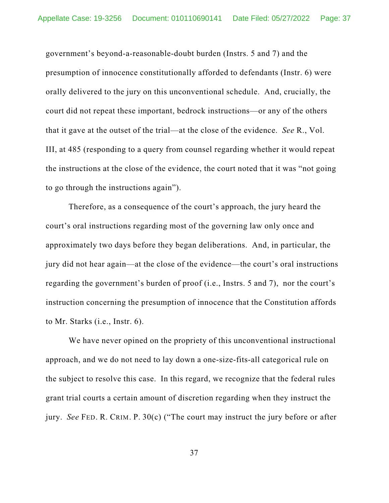government's beyond-a-reasonable-doubt burden (Instrs. 5 and 7) and the presumption of innocence constitutionally afforded to defendants (Instr. 6) were orally delivered to the jury on this unconventional schedule. And, crucially, the court did not repeat these important, bedrock instructions—or any of the others that it gave at the outset of the trial—at the close of the evidence. *See* R., Vol. III, at 485 (responding to a query from counsel regarding whether it would repeat the instructions at the close of the evidence, the court noted that it was "not going to go through the instructions again").

Therefore, as a consequence of the court's approach, the jury heard the court's oral instructions regarding most of the governing law only once and approximately two days before they began deliberations. And, in particular, the jury did not hear again—at the close of the evidence—the court's oral instructions regarding the government's burden of proof (i.e., Instrs. 5 and 7), nor the court's instruction concerning the presumption of innocence that the Constitution affords to Mr. Starks (i.e., Instr. 6).

We have never opined on the propriety of this unconventional instructional approach, and we do not need to lay down a one-size-fits-all categorical rule on the subject to resolve this case. In this regard, we recognize that the federal rules grant trial courts a certain amount of discretion regarding when they instruct the jury. *See* FED. R. CRIM. P. 30(c) ("The court may instruct the jury before or after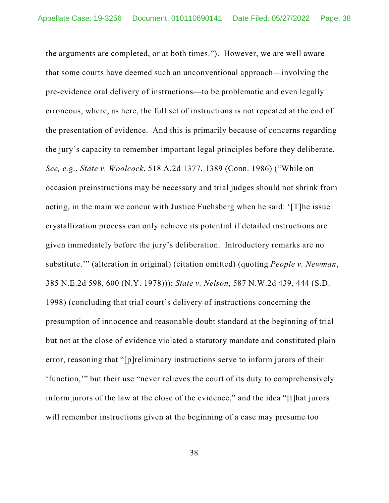the arguments are completed, or at both times."). However, we are well aware that some courts have deemed such an unconventional approach—involving the pre-evidence oral delivery of instructions—to be problematic and even legally erroneous, where, as here, the full set of instructions is not repeated at the end of the presentation of evidence. And this is primarily because of concerns regarding the jury's capacity to remember important legal principles before they deliberate. *See, e.g.*, *State v. Woolcock*, 518 A.2d 1377, 1389 (Conn. 1986) ("While on occasion preinstructions may be necessary and trial judges should not shrink from acting, in the main we concur with Justice Fuchsberg when he said: '[T]he issue crystallization process can only achieve its potential if detailed instructions are given immediately before the jury's deliberation. Introductory remarks are no substitute.'" (alteration in original) (citation omitted) (quoting *People v. Newman*, 385 N.E.2d 598, 600 (N.Y. 1978))); *State v. Nelson*, 587 N.W.2d 439, 444 (S.D. 1998) (concluding that trial court's delivery of instructions concerning the presumption of innocence and reasonable doubt standard at the beginning of trial but not at the close of evidence violated a statutory mandate and constituted plain error, reasoning that "[p]reliminary instructions serve to inform jurors of their 'function,'" but their use "never relieves the court of its duty to comprehensively inform jurors of the law at the close of the evidence," and the idea "[t]hat jurors will remember instructions given at the beginning of a case may presume too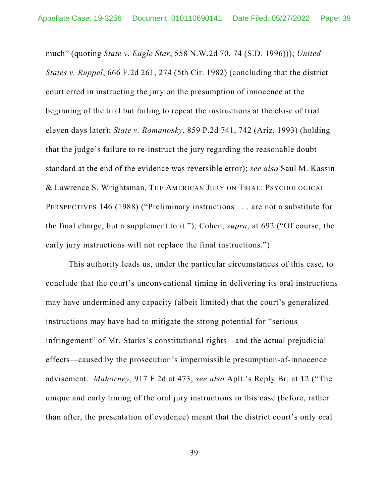much" (quoting *State v. Eagle Star*, 558 N.W.2d 70, 74 (S.D. 1996))); *United States v. Ruppel*, 666 F.2d 261, 274 (5th Cir. 1982) (concluding that the district court erred in instructing the jury on the presumption of innocence at the beginning of the trial but failing to repeat the instructions at the close of trial eleven days later); *State v. Romanosky*, 859 P.2d 741, 742 (Ariz. 1993) (holding that the judge's failure to re-instruct the jury regarding the reasonable doubt standard at the end of the evidence was reversible error); *see also* Saul M. Kassin & Lawrence S. Wrightsman, THE AMERICAN JURY ON TRIAL: PSYCHOLOGICAL PERSPECTIVES 146 (1988) ("Preliminary instructions . . . are not a substitute for the final charge, but a supplement to it."); Cohen, *supra*, at 692 ("Of course, the early jury instructions will not replace the final instructions.").

This authority leads us, under the particular circumstances of this case, to conclude that the court's unconventional timing in delivering its oral instructions may have undermined any capacity (albeit limited) that the court's generalized instructions may have had to mitigate the strong potential for "serious infringement" of Mr. Starks's constitutional rights—and the actual prejudicial effects—caused by the prosecution's impermissible presumption-of-innocence advisement. *Mahorney*, 917 F.2d at 473; *see also* Aplt.'s Reply Br. at 12 ("The unique and early timing of the oral jury instructions in this case (before, rather than after, the presentation of evidence) meant that the district court's only oral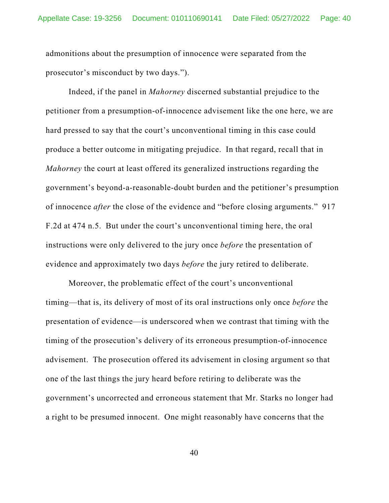admonitions about the presumption of innocence were separated from the prosecutor's misconduct by two days.").

Indeed, if the panel in *Mahorney* discerned substantial prejudice to the petitioner from a presumption-of-innocence advisement like the one here, we are hard pressed to say that the court's unconventional timing in this case could produce a better outcome in mitigating prejudice. In that regard, recall that in *Mahorney* the court at least offered its generalized instructions regarding the government's beyond-a-reasonable-doubt burden and the petitioner's presumption of innocence *after* the close of the evidence and "before closing arguments." 917 F.2d at 474 n.5. But under the court's unconventional timing here, the oral instructions were only delivered to the jury once *before* the presentation of evidence and approximately two days *before* the jury retired to deliberate.

Moreover, the problematic effect of the court's unconventional timing—that is, its delivery of most of its oral instructions only once *before* the presentation of evidence—is underscored when we contrast that timing with the timing of the prosecution's delivery of its erroneous presumption-of-innocence advisement. The prosecution offered its advisement in closing argument so that one of the last things the jury heard before retiring to deliberate was the government's uncorrected and erroneous statement that Mr. Starks no longer had a right to be presumed innocent. One might reasonably have concerns that the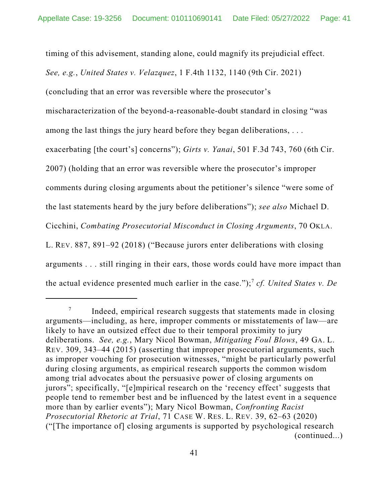timing of this advisement, standing alone, could magnify its prejudicial effect. *See, e.g.*, *United States v. Velazquez*, 1 F.4th 1132, 1140 (9th Cir. 2021) (concluding that an error was reversible where the prosecutor's mischaracterization of the beyond-a-reasonable-doubt standard in closing "was among the last things the jury heard before they began deliberations, ... exacerbating [the court's] concerns"); *Girts v. Yanai*, 501 F.3d 743, 760 (6th Cir. 2007) (holding that an error was reversible where the prosecutor's improper comments during closing arguments about the petitioner's silence "were some of the last statements heard by the jury before deliberations"); *see also* Michael D. Cicchini, *Combating Prosecutorial Misconduct in Closing Arguments*, 70 OKLA. L. REV. 887, 891–92 (2018) ("Because jurors enter deliberations with closing arguments . . . still ringing in their ears, those words could have more impact than the actual evidence presented much earlier in the case."); 7 *cf. United States v. De*

<sup>7</sup> Indeed, empirical research suggests that statements made in closing arguments—including, as here, improper comments or misstatements of law—are likely to have an outsized effect due to their temporal proximity to jury deliberations. *See, e.g.*, Mary Nicol Bowman, *Mitigating Foul Blows*, 49 GA. L. REV. 309, 343–44 (2015) (asserting that improper prosecutorial arguments, such as improper vouching for prosecution witnesses, "might be particularly powerful during closing arguments, as empirical research supports the common wisdom among trial advocates about the persuasive power of closing arguments on jurors"; specifically, "[e]mpirical research on the 'recency effect' suggests that people tend to remember best and be influenced by the latest event in a sequence more than by earlier events"); Mary Nicol Bowman, *Confronting Racist Prosecutorial Rhetoric at Trial*, 71 CASE W. RES. L. REV. 39, 62–63 (2020) ("[The importance of] closing arguments is supported by psychological research (continued...)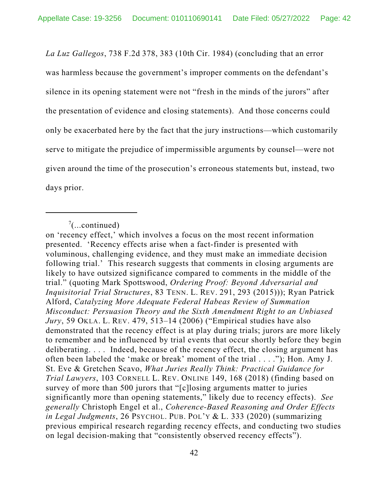*La Luz Gallegos*, 738 F.2d 378, 383 (10th Cir. 1984) (concluding that an error was harmless because the government's improper comments on the defendant's silence in its opening statement were not "fresh in the minds of the jurors" after the presentation of evidence and closing statements). And those concerns could only be exacerbated here by the fact that the jury instructions—which customarily serve to mitigate the prejudice of impermissible arguments by counsel—were not given around the time of the prosecution's erroneous statements but, instead, two days prior.

 $7$ (...continued)

on 'recency effect,' which involves a focus on the most recent information presented. 'Recency effects arise when a fact-finder is presented with voluminous, challenging evidence, and they must make an immediate decision following trial.' This research suggests that comments in closing arguments are likely to have outsized significance compared to comments in the middle of the trial." (quoting Mark Spottswood, *Ordering Proof: Beyond Adversarial and Inquisitorial Trial Structures*, 83 TENN. L. REV. 291, 293 (2015))); Ryan Patrick Alford, *Catalyzing More Adequate Federal Habeas Review of Summation Misconduct: Persuasion Theory and the Sixth Amendment Right to an Unbiased Jury*, 59 OKLA. L. REV. 479, 513–14 (2006) ("Empirical studies have also demonstrated that the recency effect is at play during trials; jurors are more likely to remember and be influenced by trial events that occur shortly before they begin deliberating. . . . Indeed, because of the recency effect, the closing argument has often been labeled the 'make or break' moment of the trial . . . ."); Hon. Amy J. St. Eve & Gretchen Scavo, *What Juries Really Think: Practical Guidance for Trial Lawyers*, 103 CORNELL L. REV. ONLINE 149, 168 (2018) (finding based on survey of more than 500 jurors that "[c]losing arguments matter to juries significantly more than opening statements," likely due to recency effects). *See generally* Christoph Engel et al., *Coherence-Based Reasoning and Order Effects in Legal Judgments*, 26 PSYCHOL. PUB. POL'Y & L. 333 (2020) (summarizing previous empirical research regarding recency effects, and conducting two studies on legal decision-making that "consistently observed recency effects").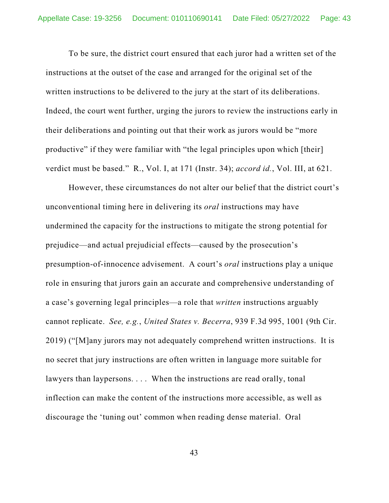To be sure, the district court ensured that each juror had a written set of the instructions at the outset of the case and arranged for the original set of the written instructions to be delivered to the jury at the start of its deliberations. Indeed, the court went further, urging the jurors to review the instructions early in their deliberations and pointing out that their work as jurors would be "more productive" if they were familiar with "the legal principles upon which [their] verdict must be based." R., Vol. I, at 171 (Instr. 34); *accord id.*, Vol. III, at 621.

However, these circumstances do not alter our belief that the district court's unconventional timing here in delivering its *oral* instructions may have undermined the capacity for the instructions to mitigate the strong potential for prejudice—and actual prejudicial effects—caused by the prosecution's presumption-of-innocence advisement. A court's *oral* instructions play a unique role in ensuring that jurors gain an accurate and comprehensive understanding of a case's governing legal principles—a role that *written* instructions arguably cannot replicate. *See, e.g.*, *United States v. Becerra*, 939 F.3d 995, 1001 (9th Cir. 2019) ("[M]any jurors may not adequately comprehend written instructions. It is no secret that jury instructions are often written in language more suitable for lawyers than laypersons. . . . When the instructions are read orally, tonal inflection can make the content of the instructions more accessible, as well as discourage the 'tuning out' common when reading dense material. Oral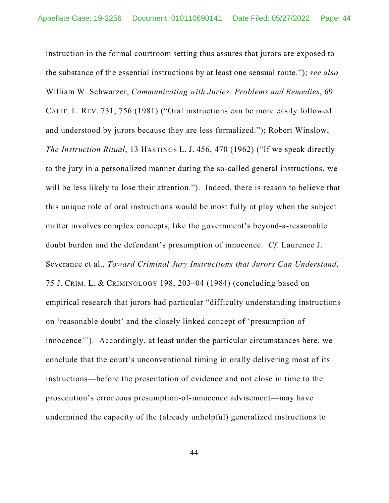instruction in the formal courtroom setting thus assures that jurors are exposed to the substance of the essential instructions by at least one sensual route."); *see also* William W. Schwarzer, *Communicating with Juries: Problems and Remedies*, 69 CALIF. L. REV. 731, 756 (1981) ("Oral instructions can be more easily followed and understood by jurors because they are less formalized."); Robert Winslow, *The Instruction Ritual*, 13 HASTINGS L. J. 456, 470 (1962) ("If we speak directly to the jury in a personalized manner during the so-called general instructions, we will be less likely to lose their attention."). Indeed, there is reason to believe that this unique role of oral instructions would be most fully at play when the subject matter involves complex concepts, like the government's beyond-a-reasonable doubt burden and the defendant's presumption of innocence. *Cf.* Laurence J. Severance et al., *Toward Criminal Jury Instructions that Jurors Can Understand*, 75 J. CRIM. L. & CRIMINOLOGY 198, 203–04 (1984) (concluding based on empirical research that jurors had particular "difficulty understanding instructions on 'reasonable doubt' and the closely linked concept of 'presumption of innocence'"). Accordingly, at least under the particular circumstances here, we conclude that the court's unconventional timing in orally delivering most of its instructions—before the presentation of evidence and not close in time to the prosecution's erroneous presumption-of-innocence advisement—may have undermined the capacity of the (already unhelpful) generalized instructions to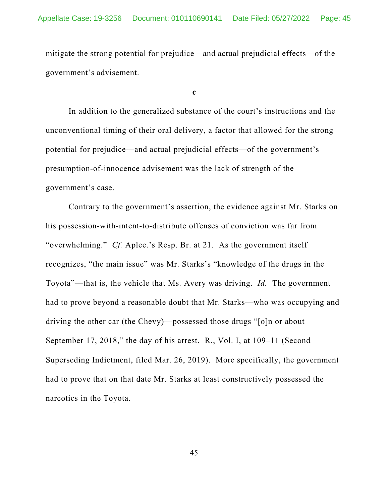mitigate the strong potential for prejudice—and actual prejudicial effects—of the government's advisement.

**c**

In addition to the generalized substance of the court's instructions and the unconventional timing of their oral delivery, a factor that allowed for the strong potential for prejudice—and actual prejudicial effects—of the government's presumption-of-innocence advisement was the lack of strength of the government's case.

Contrary to the government's assertion, the evidence against Mr. Starks on his possession-with-intent-to-distribute offenses of conviction was far from "overwhelming." *Cf.* Aplee.'s Resp. Br. at 21. As the government itself recognizes, "the main issue" was Mr. Starks's "knowledge of the drugs in the Toyota"—that is, the vehicle that Ms. Avery was driving. *Id.* The government had to prove beyond a reasonable doubt that Mr. Starks—who was occupying and driving the other car (the Chevy)—possessed those drugs "[o]n or about September 17, 2018," the day of his arrest. R., Vol. I, at 109–11 (Second Superseding Indictment, filed Mar. 26, 2019). More specifically, the government had to prove that on that date Mr. Starks at least constructively possessed the narcotics in the Toyota.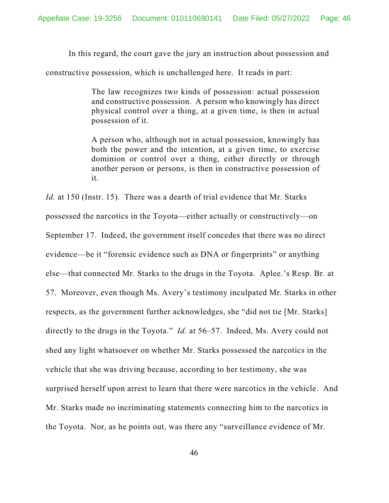In this regard, the court gave the jury an instruction about possession and

constructive possession, which is unchallenged here. It reads in part:

The law recognizes two kinds of possession: actual possession and constructive possession. A person who knowingly has direct physical control over a thing, at a given time, is then in actual possession of it.

A person who, although not in actual possession, knowingly has both the power and the intention, at a given time, to exercise dominion or control over a thing, either directly or through another person or persons, is then in constructive possession of it.

*Id.* at 150 (Instr. 15). There was a dearth of trial evidence that Mr. Starks possessed the narcotics in the Toyota—either actually or constructively—on September 17. Indeed, the government itself concedes that there was no direct evidence—be it "forensic evidence such as DNA or fingerprints" or anything else—that connected Mr. Starks to the drugs in the Toyota. Aplee.'s Resp. Br. at 57. Moreover, even though Ms. Avery's testimony inculpated Mr. Starks in other respects, as the government further acknowledges, she "did not tie [Mr. Starks] directly to the drugs in the Toyota." *Id.* at 56–57. Indeed, Ms. Avery could not shed any light whatsoever on whether Mr. Starks possessed the narcotics in the vehicle that she was driving because, according to her testimony, she was surprised herself upon arrest to learn that there were narcotics in the vehicle. And Mr. Starks made no incriminating statements connecting him to the narcotics in the Toyota. Nor, as he points out, was there any "surveillance evidence of Mr.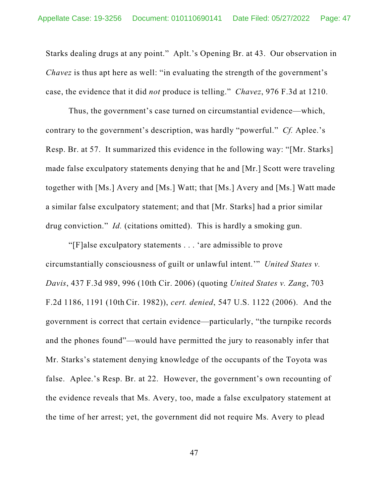Starks dealing drugs at any point." Aplt.'s Opening Br. at 43. Our observation in *Chavez* is thus apt here as well: "in evaluating the strength of the government's case, the evidence that it did *not* produce is telling." *Chavez*, 976 F.3d at 1210.

Thus, the government's case turned on circumstantial evidence—which, contrary to the government's description, was hardly "powerful." *Cf.* Aplee.'s Resp. Br. at 57. It summarized this evidence in the following way: "[Mr. Starks] made false exculpatory statements denying that he and [Mr.] Scott were traveling together with [Ms.] Avery and [Ms.] Watt; that [Ms.] Avery and [Ms.] Watt made a similar false exculpatory statement; and that [Mr. Starks] had a prior similar drug conviction." *Id.* (citations omitted). This is hardly a smoking gun.

"[F]alse exculpatory statements . . . 'are admissible to prove circumstantially consciousness of guilt or unlawful intent.'" *United States v. Davis*, 437 F.3d 989, 996 (10th Cir. 2006) (quoting *United States v. Zang*, 703 F.2d 1186, 1191 (10th Cir. 1982)), *cert. denied*, 547 U.S. 1122 (2006). And the government is correct that certain evidence—particularly, "the turnpike records and the phones found"—would have permitted the jury to reasonably infer that Mr. Starks's statement denying knowledge of the occupants of the Toyota was false. Aplee.'s Resp. Br. at 22. However, the government's own recounting of the evidence reveals that Ms. Avery, too, made a false exculpatory statement at the time of her arrest; yet, the government did not require Ms. Avery to plead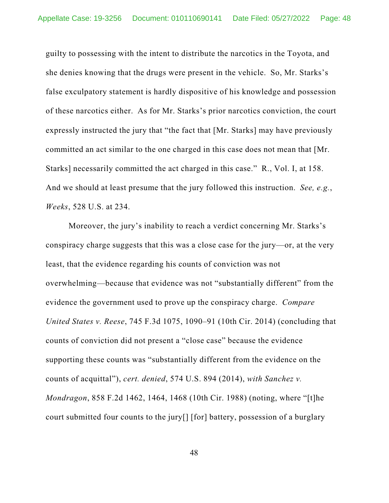guilty to possessing with the intent to distribute the narcotics in the Toyota, and she denies knowing that the drugs were present in the vehicle. So, Mr. Starks's false exculpatory statement is hardly dispositive of his knowledge and possession of these narcotics either. As for Mr. Starks's prior narcotics conviction, the court expressly instructed the jury that "the fact that [Mr. Starks] may have previously committed an act similar to the one charged in this case does not mean that [Mr. Starks] necessarily committed the act charged in this case." R., Vol. I, at 158. And we should at least presume that the jury followed this instruction. *See, e.g.*, *Weeks*, 528 U.S. at 234.

Moreover, the jury's inability to reach a verdict concerning Mr. Starks's conspiracy charge suggests that this was a close case for the jury—or, at the very least, that the evidence regarding his counts of conviction was not overwhelming—because that evidence was not "substantially different" from the evidence the government used to prove up the conspiracy charge. *Compare United States v. Reese*, 745 F.3d 1075, 1090–91 (10th Cir. 2014) (concluding that counts of conviction did not present a "close case" because the evidence supporting these counts was "substantially different from the evidence on the counts of acquittal"), *cert. denied*, 574 U.S. 894 (2014), *with Sanchez v. Mondragon*, 858 F.2d 1462, 1464, 1468 (10th Cir. 1988) (noting, where "[t]he court submitted four counts to the jury[] [for] battery, possession of a burglary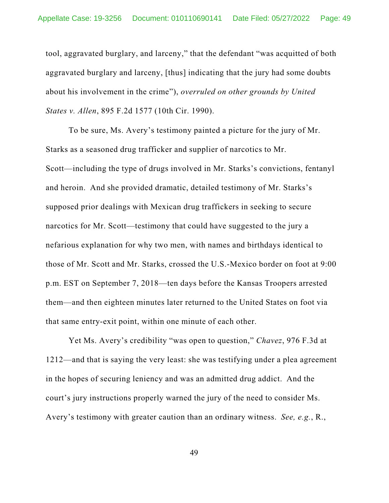tool, aggravated burglary, and larceny," that the defendant "was acquitted of both aggravated burglary and larceny, [thus] indicating that the jury had some doubts about his involvement in the crime"), *overruled on other grounds by United States v. Allen*, 895 F.2d 1577 (10th Cir. 1990).

To be sure, Ms. Avery's testimony painted a picture for the jury of Mr. Starks as a seasoned drug trafficker and supplier of narcotics to Mr. Scott—including the type of drugs involved in Mr. Starks's convictions, fentanyl and heroin. And she provided dramatic, detailed testimony of Mr. Starks's supposed prior dealings with Mexican drug traffickers in seeking to secure narcotics for Mr. Scott—testimony that could have suggested to the jury a nefarious explanation for why two men, with names and birthdays identical to those of Mr. Scott and Mr. Starks, crossed the U.S.-Mexico border on foot at 9:00 p.m. EST on September 7, 2018—ten days before the Kansas Troopers arrested them—and then eighteen minutes later returned to the United States on foot via that same entry-exit point, within one minute of each other.

Yet Ms. Avery's credibility "was open to question," *Chavez*, 976 F.3d at 1212—and that is saying the very least: she was testifying under a plea agreement in the hopes of securing leniency and was an admitted drug addict. And the court's jury instructions properly warned the jury of the need to consider Ms. Avery's testimony with greater caution than an ordinary witness. *See, e.g.*, R.,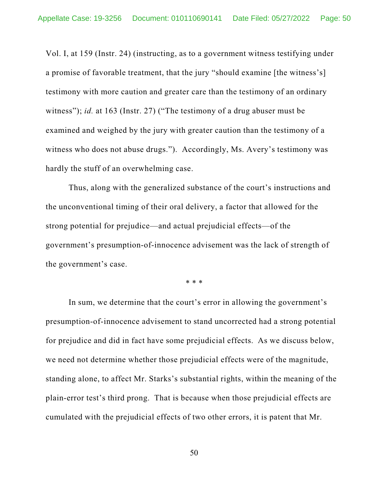Vol. I, at 159 (Instr. 24) (instructing, as to a government witness testifying under a promise of favorable treatment, that the jury "should examine [the witness's] testimony with more caution and greater care than the testimony of an ordinary witness"); *id.* at 163 (Instr. 27) ("The testimony of a drug abuser must be examined and weighed by the jury with greater caution than the testimony of a witness who does not abuse drugs."). Accordingly, Ms. Avery's testimony was hardly the stuff of an overwhelming case.

Thus, along with the generalized substance of the court's instructions and the unconventional timing of their oral delivery, a factor that allowed for the strong potential for prejudice—and actual prejudicial effects—of the government's presumption-of-innocence advisement was the lack of strength of the government's case.

\* \* \*

In sum, we determine that the court's error in allowing the government's presumption-of-innocence advisement to stand uncorrected had a strong potential for prejudice and did in fact have some prejudicial effects. As we discuss below, we need not determine whether those prejudicial effects were of the magnitude, standing alone, to affect Mr. Starks's substantial rights, within the meaning of the plain-error test's third prong. That is because when those prejudicial effects are cumulated with the prejudicial effects of two other errors, it is patent that Mr.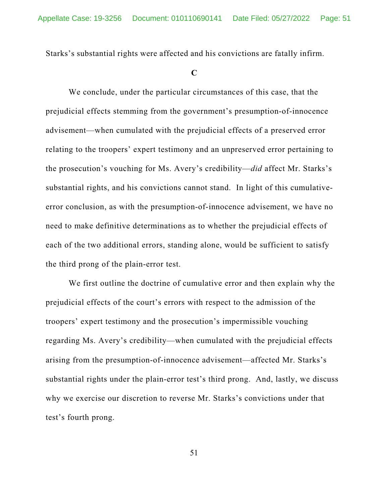Starks's substantial rights were affected and his convictions are fatally infirm.

### **C**

We conclude, under the particular circumstances of this case, that the prejudicial effects stemming from the government's presumption-of-innocence advisement—when cumulated with the prejudicial effects of a preserved error relating to the troopers' expert testimony and an unpreserved error pertaining to the prosecution's vouching for Ms. Avery's credibility—*did* affect Mr. Starks's substantial rights, and his convictions cannot stand. In light of this cumulativeerror conclusion, as with the presumption-of-innocence advisement, we have no need to make definitive determinations as to whether the prejudicial effects of each of the two additional errors, standing alone, would be sufficient to satisfy the third prong of the plain-error test.

We first outline the doctrine of cumulative error and then explain why the prejudicial effects of the court's errors with respect to the admission of the troopers' expert testimony and the prosecution's impermissible vouching regarding Ms. Avery's credibility—when cumulated with the prejudicial effects arising from the presumption-of-innocence advisement—affected Mr. Starks's substantial rights under the plain-error test's third prong. And, lastly, we discuss why we exercise our discretion to reverse Mr. Starks's convictions under that test's fourth prong.

51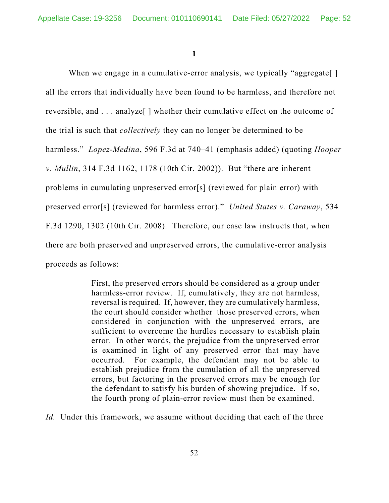**1**

When we engage in a cumulative-error analysis, we typically "aggregate [] all the errors that individually have been found to be harmless, and therefore not reversible, and . . . analyze[ ] whether their cumulative effect on the outcome of the trial is such that *collectively* they can no longer be determined to be harmless." *Lopez-Medina*, 596 F.3d at 740–41 (emphasis added) (quoting *Hooper v. Mullin*, 314 F.3d 1162, 1178 (10th Cir. 2002)). But "there are inherent problems in cumulating unpreserved error[s] (reviewed for plain error) with preserved error[s] (reviewed for harmless error)." *United States v. Caraway*, 534 F.3d 1290, 1302 (10th Cir. 2008). Therefore, our case law instructs that, when there are both preserved and unpreserved errors, the cumulative-error analysis proceeds as follows:

> First, the preserved errors should be considered as a group under harmless-error review. If, cumulatively, they are not harmless, reversal is required. If, however, they are cumulatively harmless, the court should consider whether those preserved errors, when considered in conjunction with the unpreserved errors, are sufficient to overcome the hurdles necessary to establish plain error. In other words, the prejudice from the unpreserved error is examined in light of any preserved error that may have occurred. For example, the defendant may not be able to establish prejudice from the cumulation of all the unpreserved errors, but factoring in the preserved errors may be enough for the defendant to satisfy his burden of showing prejudice. If so, the fourth prong of plain-error review must then be examined.

*Id.* Under this framework, we assume without deciding that each of the three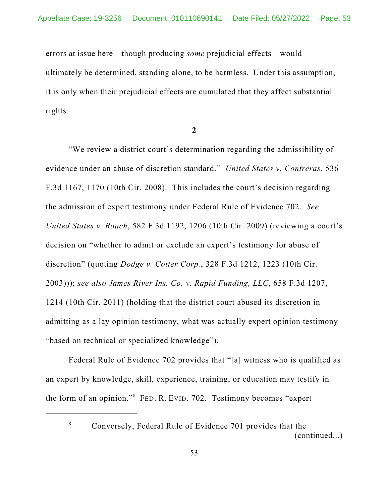errors at issue here—though producing *some* prejudicial effects—would ultimately be determined, standing alone, to be harmless. Under this assumption, it is only when their prejudicial effects are cumulated that they affect substantial rights.

**2**

"We review a district court's determination regarding the admissibility of evidence under an abuse of discretion standard." *United States v. Contreras*, 536 F.3d 1167, 1170 (10th Cir. 2008). This includes the court's decision regarding the admission of expert testimony under Federal Rule of Evidence 702. *See United States v. Roach*, 582 F.3d 1192, 1206 (10th Cir. 2009) (reviewing a court's decision on "whether to admit or exclude an expert's testimony for abuse of discretion" (quoting *Dodge v. Cotter Corp.*, 328 F.3d 1212, 1223 (10th Cir. 2003))); *see also James River Ins. Co. v. Rapid Funding, LLC*, 658 F.3d 1207, 1214 (10th Cir. 2011) (holding that the district court abused its discretion in admitting as a lay opinion testimony, what was actually expert opinion testimony "based on technical or specialized knowledge").

Federal Rule of Evidence 702 provides that "[a] witness who is qualified as an expert by knowledge, skill, experience, training, or education may testify in the form of an opinion." <sup>8</sup> FED. R. EVID. 702. Testimony becomes "expert

<sup>8</sup> Conversely, Federal Rule of Evidence 701 provides that the (continued...)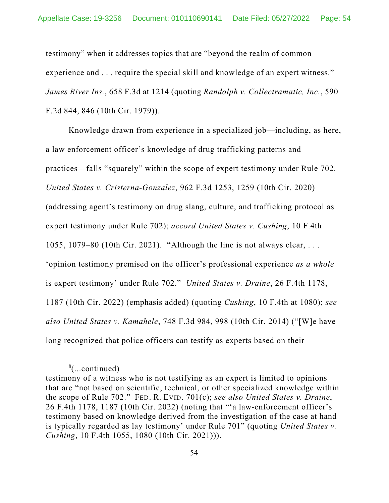testimony" when it addresses topics that are "beyond the realm of common experience and . . . require the special skill and knowledge of an expert witness." *James River Ins.*, 658 F.3d at 1214 (quoting *Randolph v. Collectramatic, Inc.*, 590 F.2d 844, 846 (10th Cir. 1979)).

Knowledge drawn from experience in a specialized job—including, as here, a law enforcement officer's knowledge of drug trafficking patterns and practices—falls "squarely" within the scope of expert testimony under Rule 702. *United States v. Cristerna-Gonzalez*, 962 F.3d 1253, 1259 (10th Cir. 2020) (addressing agent's testimony on drug slang, culture, and trafficking protocol as expert testimony under Rule 702); *accord United States v. Cushing*, 10 F.4th 1055, 1079–80 (10th Cir. 2021). "Although the line is not always clear, . . . 'opinion testimony premised on the officer's professional experience *as a whole* is expert testimony' under Rule 702." *United States v. Draine*, 26 F.4th 1178, 1187 (10th Cir. 2022) (emphasis added) (quoting *Cushing*, 10 F.4th at 1080); *see also United States v. Kamahele*, 748 F.3d 984, 998 (10th Cir. 2014) ("[W]e have long recognized that police officers can testify as experts based on their

<sup>8</sup> (...continued)

testimony of a witness who is not testifying as an expert is limited to opinions that are "not based on scientific, technical, or other specialized knowledge within the scope of Rule 702." FED. R. EVID. 701(c); *see also United States v. Draine*, 26 F.4th 1178, 1187 (10th Cir. 2022) (noting that "'a law-enforcement officer's testimony based on knowledge derived from the investigation of the case at hand is typically regarded as lay testimony' under Rule 701" (quoting *United States v. Cushing*, 10 F.4th 1055, 1080 (10th Cir. 2021))).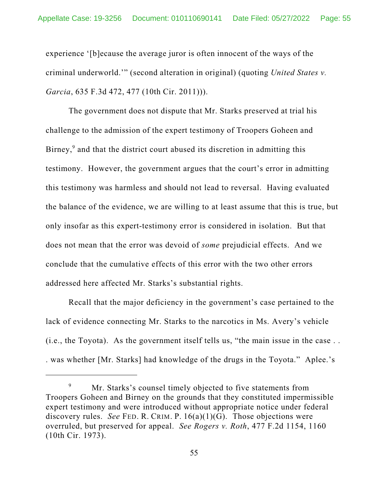experience '[b]ecause the average juror is often innocent of the ways of the criminal underworld.'" (second alteration in original) (quoting *United States v. Garcia*, 635 F.3d 472, 477 (10th Cir. 2011))).

The government does not dispute that Mr. Starks preserved at trial his challenge to the admission of the expert testimony of Troopers Goheen and Birney,<sup>9</sup> and that the district court abused its discretion in admitting this testimony. However, the government argues that the court's error in admitting this testimony was harmless and should not lead to reversal. Having evaluated the balance of the evidence, we are willing to at least assume that this is true, but only insofar as this expert-testimony error is considered in isolation. But that does not mean that the error was devoid of *some* prejudicial effects. And we conclude that the cumulative effects of this error with the two other errors addressed here affected Mr. Starks's substantial rights.

Recall that the major deficiency in the government's case pertained to the lack of evidence connecting Mr. Starks to the narcotics in Ms. Avery's vehicle (i.e., the Toyota). As the government itself tells us, "the main issue in the case . . . was whether [Mr. Starks] had knowledge of the drugs in the Toyota." Aplee.'s

<sup>&</sup>lt;sup>9</sup> Mr. Starks's counsel timely objected to five statements from Troopers Goheen and Birney on the grounds that they constituted impermissible expert testimony and were introduced without appropriate notice under federal discovery rules. *See* FED. R. CRIM. P. 16(a)(1)(G). Those objections were overruled, but preserved for appeal. *See Rogers v. Roth*, 477 F.2d 1154, 1160 (10th Cir. 1973).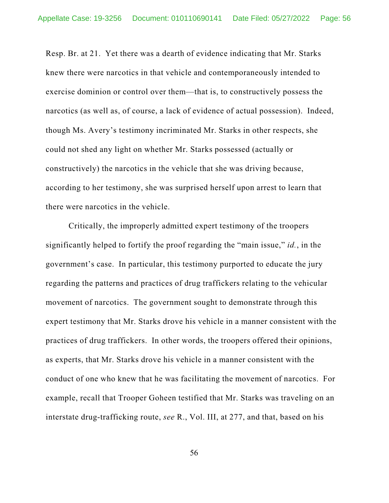Resp. Br. at 21. Yet there was a dearth of evidence indicating that Mr. Starks knew there were narcotics in that vehicle and contemporaneously intended to exercise dominion or control over them—that is, to constructively possess the narcotics (as well as, of course, a lack of evidence of actual possession). Indeed, though Ms. Avery's testimony incriminated Mr. Starks in other respects, she could not shed any light on whether Mr. Starks possessed (actually or constructively) the narcotics in the vehicle that she was driving because, according to her testimony, she was surprised herself upon arrest to learn that there were narcotics in the vehicle.

Critically, the improperly admitted expert testimony of the troopers significantly helped to fortify the proof regarding the "main issue," *id.*, in the government's case. In particular, this testimony purported to educate the jury regarding the patterns and practices of drug traffickers relating to the vehicular movement of narcotics. The government sought to demonstrate through this expert testimony that Mr. Starks drove his vehicle in a manner consistent with the practices of drug traffickers. In other words, the troopers offered their opinions, as experts, that Mr. Starks drove his vehicle in a manner consistent with the conduct of one who knew that he was facilitating the movement of narcotics. For example, recall that Trooper Goheen testified that Mr. Starks was traveling on an interstate drug-trafficking route, *see* R., Vol. III, at 277, and that, based on his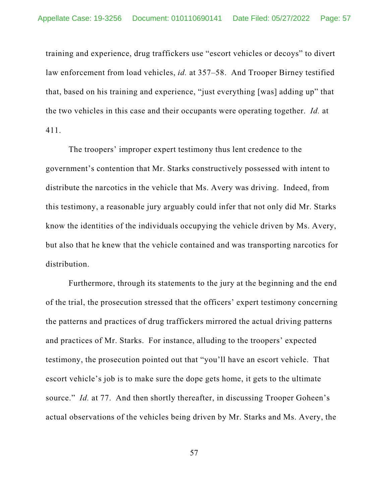training and experience, drug traffickers use "escort vehicles or decoys" to divert law enforcement from load vehicles, *id.* at 357–58. And Trooper Birney testified that, based on his training and experience, "just everything [was] adding up" that the two vehicles in this case and their occupants were operating together. *Id.* at 411.

The troopers' improper expert testimony thus lent credence to the government's contention that Mr. Starks constructively possessed with intent to distribute the narcotics in the vehicle that Ms. Avery was driving. Indeed, from this testimony, a reasonable jury arguably could infer that not only did Mr. Starks know the identities of the individuals occupying the vehicle driven by Ms. Avery, but also that he knew that the vehicle contained and was transporting narcotics for distribution.

Furthermore, through its statements to the jury at the beginning and the end of the trial, the prosecution stressed that the officers' expert testimony concerning the patterns and practices of drug traffickers mirrored the actual driving patterns and practices of Mr. Starks. For instance, alluding to the troopers' expected testimony, the prosecution pointed out that "you'll have an escort vehicle. That escort vehicle's job is to make sure the dope gets home, it gets to the ultimate source." *Id.* at 77. And then shortly thereafter, in discussing Trooper Goheen's actual observations of the vehicles being driven by Mr. Starks and Ms. Avery, the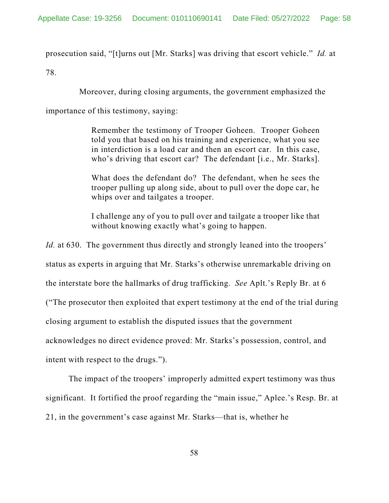prosecution said, "[t]urns out [Mr. Starks] was driving that escort vehicle." *Id.* at

78.

Moreover, during closing arguments, the government emphasized the

importance of this testimony, saying:

Remember the testimony of Trooper Goheen. Trooper Goheen told you that based on his training and experience, what you see in interdiction is a load car and then an escort car. In this case, who's driving that escort car? The defendant [i.e., Mr. Starks].

What does the defendant do? The defendant, when he sees the trooper pulling up along side, about to pull over the dope car, he whips over and tailgates a trooper.

I challenge any of you to pull over and tailgate a trooper like that without knowing exactly what's going to happen.

*Id.* at 630. The government thus directly and strongly leaned into the troopers' status as experts in arguing that Mr. Starks's otherwise unremarkable driving on the interstate bore the hallmarks of drug trafficking. *See* Aplt.'s Reply Br. at 6 ("The prosecutor then exploited that expert testimony at the end of the trial during closing argument to establish the disputed issues that the government acknowledges no direct evidence proved: Mr. Starks's possession, control, and intent with respect to the drugs.").

The impact of the troopers' improperly admitted expert testimony was thus significant. It fortified the proof regarding the "main issue," Aplee.'s Resp. Br. at 21, in the government's case against Mr. Starks—that is, whether he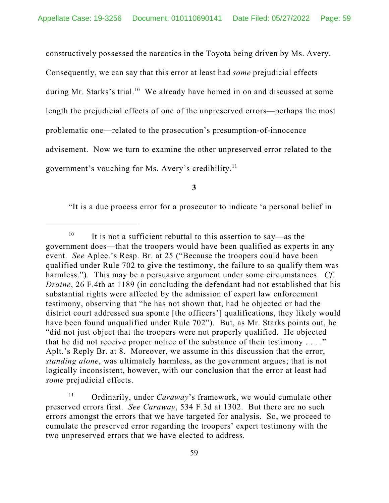constructively possessed the narcotics in the Toyota being driven by Ms. Avery. Consequently, we can say that this error at least had *some* prejudicial effects during Mr. Starks's trial.<sup>10</sup> We already have homed in on and discussed at some length the prejudicial effects of one of the unpreserved errors—perhaps the most problematic one—related to the prosecution's presumption-of-innocence advisement. Now we turn to examine the other unpreserved error related to the government's vouching for Ms. Avery's credibility. 11

**3**

"It is a due process error for a prosecutor to indicate 'a personal belief in

<sup>10</sup> It is not a sufficient rebuttal to this assertion to say—as the government does—that the troopers would have been qualified as experts in any event. *See* Aplee.'s Resp. Br. at 25 ("Because the troopers could have been qualified under Rule 702 to give the testimony, the failure to so qualify them was harmless."). This may be a persuasive argument under some circumstances. *Cf. Draine*, 26 F.4th at 1189 (in concluding the defendant had not established that his substantial rights were affected by the admission of expert law enforcement testimony, observing that "he has not shown that, had he objected or had the district court addressed sua sponte [the officers'] qualifications, they likely would have been found unqualified under Rule 702"). But, as Mr. Starks points out, he "did not just object that the troopers were not properly qualified. He objected that he did not receive proper notice of the substance of their testimony  $\dots$ ." Aplt.'s Reply Br. at 8. Moreover, we assume in this discussion that the error, *standing alone*, was ultimately harmless, as the government argues; that is not logically inconsistent, however, with our conclusion that the error at least had *some* prejudicial effects.

Ordinarily, under *Caraway*'s framework, we would cumulate other preserved errors first. *See Caraway*, 534 F.3d at 1302. But there are no such errors amongst the errors that we have targeted for analysis. So, we proceed to cumulate the preserved error regarding the troopers' expert testimony with the two unpreserved errors that we have elected to address.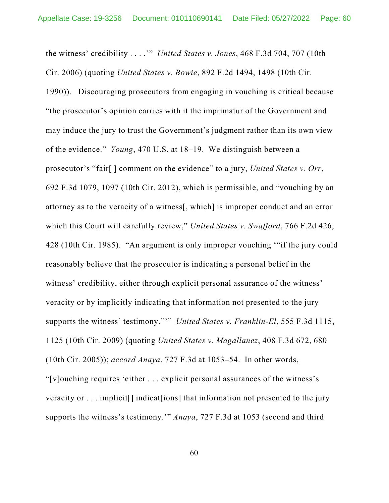the witness' credibility . . . .'" *United States v. Jones*, 468 F.3d 704, 707 (10th Cir. 2006) (quoting *United States v. Bowie*, 892 F.2d 1494, 1498 (10th Cir. 1990)). Discouraging prosecutors from engaging in vouching is critical because "the prosecutor's opinion carries with it the imprimatur of the Government and may induce the jury to trust the Government's judgment rather than its own view of the evidence." *Young*, 470 U.S. at 18–19. We distinguish between a prosecutor's "fair[ ] comment on the evidence" to a jury, *United States v. Orr*, 692 F.3d 1079, 1097 (10th Cir. 2012), which is permissible, and "vouching by an attorney as to the veracity of a witness[, which] is improper conduct and an error which this Court will carefully review," *United States v. Swafford*, 766 F.2d 426, 428 (10th Cir. 1985). "An argument is only improper vouching '"if the jury could reasonably believe that the prosecutor is indicating a personal belief in the witness' credibility, either through explicit personal assurance of the witness' veracity or by implicitly indicating that information not presented to the jury supports the witness' testimony."'" *United States v. Franklin-El*, 555 F.3d 1115, 1125 (10th Cir. 2009) (quoting *United States v. Magallanez*, 408 F.3d 672, 680 (10th Cir. 2005)); *accord Anaya*, 727 F.3d at 1053–54. In other words, "[v]ouching requires 'either . . . explicit personal assurances of the witness's veracity or . . . implicit<sup>[]</sup> indicat<sup>[ions]</sup> that information not presented to the jury supports the witness's testimony.'" *Anaya*, 727 F.3d at 1053 (second and third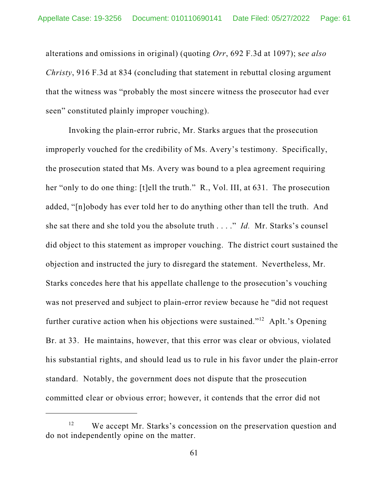alterations and omissions in original) (quoting *Orr*, 692 F.3d at 1097); s*ee also Christy*, 916 F.3d at 834 (concluding that statement in rebuttal closing argument that the witness was "probably the most sincere witness the prosecutor had ever seen" constituted plainly improper vouching).

Invoking the plain-error rubric, Mr. Starks argues that the prosecution improperly vouched for the credibility of Ms. Avery's testimony. Specifically, the prosecution stated that Ms. Avery was bound to a plea agreement requiring her "only to do one thing: [t]ell the truth." R., Vol. III, at 631. The prosecution added, "[n]obody has ever told her to do anything other than tell the truth. And she sat there and she told you the absolute truth . . . ." *Id.* Mr. Starks's counsel did object to this statement as improper vouching. The district court sustained the objection and instructed the jury to disregard the statement. Nevertheless, Mr. Starks concedes here that his appellate challenge to the prosecution's vouching was not preserved and subject to plain-error review because he "did not request further curative action when his objections were sustained."<sup>12</sup> Aplt.'s Opening Br. at 33. He maintains, however, that this error was clear or obvious, violated his substantial rights, and should lead us to rule in his favor under the plain-error standard. Notably, the government does not dispute that the prosecution committed clear or obvious error; however, it contends that the error did not

<sup>&</sup>lt;sup>12</sup> We accept Mr. Starks's concession on the preservation question and do not independently opine on the matter.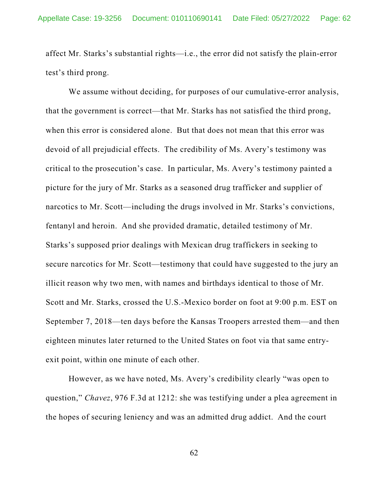affect Mr. Starks's substantial rights—i.e., the error did not satisfy the plain-error test's third prong.

We assume without deciding, for purposes of our cumulative-error analysis, that the government is correct—that Mr. Starks has not satisfied the third prong, when this error is considered alone. But that does not mean that this error was devoid of all prejudicial effects. The credibility of Ms. Avery's testimony was critical to the prosecution's case. In particular, Ms. Avery's testimony painted a picture for the jury of Mr. Starks as a seasoned drug trafficker and supplier of narcotics to Mr. Scott—including the drugs involved in Mr. Starks's convictions, fentanyl and heroin. And she provided dramatic, detailed testimony of Mr. Starks's supposed prior dealings with Mexican drug traffickers in seeking to secure narcotics for Mr. Scott—testimony that could have suggested to the jury an illicit reason why two men, with names and birthdays identical to those of Mr. Scott and Mr. Starks, crossed the U.S.-Mexico border on foot at 9:00 p.m. EST on September 7, 2018—ten days before the Kansas Troopers arrested them—and then eighteen minutes later returned to the United States on foot via that same entryexit point, within one minute of each other.

However, as we have noted, Ms. Avery's credibility clearly "was open to question," *Chavez*, 976 F.3d at 1212: she was testifying under a plea agreement in the hopes of securing leniency and was an admitted drug addict. And the court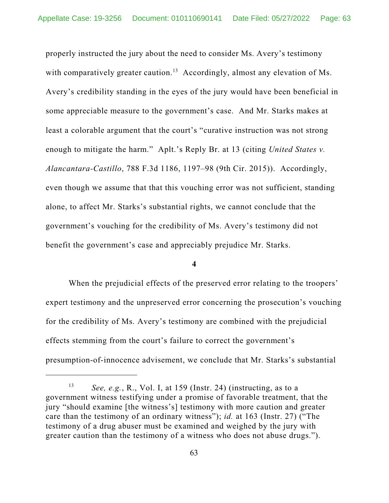properly instructed the jury about the need to consider Ms. Avery's testimony with comparatively greater caution.<sup>13</sup> Accordingly, almost any elevation of Ms. Avery's credibility standing in the eyes of the jury would have been beneficial in some appreciable measure to the government's case. And Mr. Starks makes at least a colorable argument that the court's "curative instruction was not strong enough to mitigate the harm." Aplt.'s Reply Br. at 13 (citing *United States v. Alancantara-Castillo*, 788 F.3d 1186, 1197–98 (9th Cir. 2015)). Accordingly, even though we assume that that this vouching error was not sufficient, standing alone, to affect Mr. Starks's substantial rights, we cannot conclude that the government's vouching for the credibility of Ms. Avery's testimony did not benefit the government's case and appreciably prejudice Mr. Starks.

### **4**

When the prejudicial effects of the preserved error relating to the troopers' expert testimony and the unpreserved error concerning the prosecution's vouching for the credibility of Ms. Avery's testimony are combined with the prejudicial effects stemming from the court's failure to correct the government's presumption-of-innocence advisement, we conclude that Mr. Starks's substantial

<sup>13</sup> *See, e.g.*, R., Vol. I, at 159 (Instr. 24) (instructing, as to a government witness testifying under a promise of favorable treatment, that the jury "should examine [the witness's] testimony with more caution and greater care than the testimony of an ordinary witness"); *id.* at 163 (Instr. 27) ("The testimony of a drug abuser must be examined and weighed by the jury with greater caution than the testimony of a witness who does not abuse drugs.").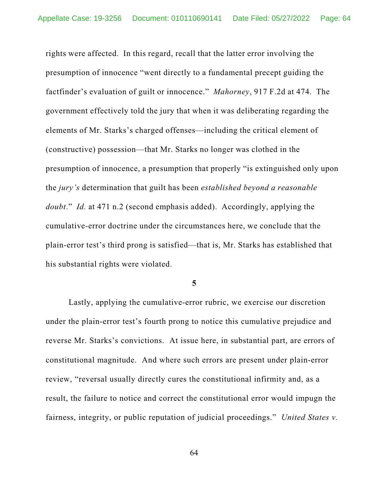rights were affected. In this regard, recall that the latter error involving the presumption of innocence "went directly to a fundamental precept guiding the factfinder's evaluation of guilt or innocence." *Mahorney*, 917 F.2d at 474. The government effectively told the jury that when it was deliberating regarding the elements of Mr. Starks's charged offenses—including the critical element of (constructive) possession—that Mr. Starks no longer was clothed in the presumption of innocence, a presumption that properly "is extinguished only upon the *jury's* determination that guilt has been *established beyond a reasonable doubt*." *Id.* at 471 n.2 (second emphasis added). Accordingly, applying the cumulative-error doctrine under the circumstances here, we conclude that the plain-error test's third prong is satisfied—that is, Mr. Starks has established that his substantial rights were violated.

**5**

Lastly, applying the cumulative-error rubric, we exercise our discretion under the plain-error test's fourth prong to notice this cumulative prejudice and reverse Mr. Starks's convictions. At issue here, in substantial part, are errors of constitutional magnitude. And where such errors are present under plain-error review, "reversal usually directly cures the constitutional infirmity and, as a result, the failure to notice and correct the constitutional error would impugn the fairness, integrity, or public reputation of judicial proceedings." *United States v.*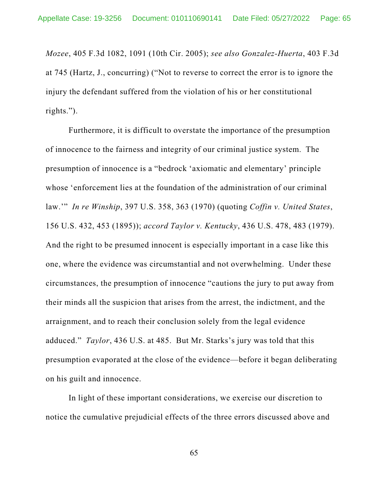*Mozee*, 405 F.3d 1082, 1091 (10th Cir. 2005); *see also Gonzalez-Huerta*, 403 F.3d at 745 (Hartz, J., concurring) ("Not to reverse to correct the error is to ignore the injury the defendant suffered from the violation of his or her constitutional rights.").

Furthermore, it is difficult to overstate the importance of the presumption of innocence to the fairness and integrity of our criminal justice system. The presumption of innocence is a "bedrock 'axiomatic and elementary' principle whose 'enforcement lies at the foundation of the administration of our criminal law.'" *In re Winship*, 397 U.S. 358, 363 (1970) (quoting *Coffin v. United States*, 156 U.S. 432, 453 (1895)); *accord Taylor v. Kentucky*, 436 U.S. 478, 483 (1979). And the right to be presumed innocent is especially important in a case like this one, where the evidence was circumstantial and not overwhelming. Under these circumstances, the presumption of innocence "cautions the jury to put away from their minds all the suspicion that arises from the arrest, the indictment, and the arraignment, and to reach their conclusion solely from the legal evidence adduced." *Taylor*, 436 U.S. at 485. But Mr. Starks's jury was told that this presumption evaporated at the close of the evidence—before it began deliberating on his guilt and innocence.

In light of these important considerations, we exercise our discretion to notice the cumulative prejudicial effects of the three errors discussed above and